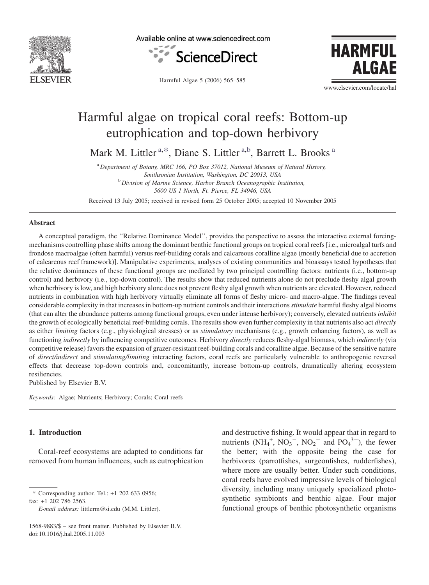

Available online at www.sciencedirect.com



Harmful Algae 5 (2006) 565–585

**HARMFUL** AI GAF

www.elsevier.com/locate/hal

# Harmful algae on tropical coral reefs: Bottom-up eutrophication and top-down herbivory

Mark M. Littler<sup>a,\*</sup>, Diane S. Littler<sup>a,b</sup>, Barrett L. Brooks<sup>a</sup>

<sup>a</sup> Department of Botany, MRC 166, PO Box 37012, National Museum of Natural History, Smithsonian Institution, Washington, DC 20013, USA **b** Division of Marine Science, Harbor Branch Oceanographic Institution, 5600 US 1 North, Ft. Pierce, FL 34946, USA

Received 13 July 2005; received in revised form 25 October 2005; accepted 10 November 2005

#### Abstract

A conceptual paradigm, the ''Relative Dominance Model'', provides the perspective to assess the interactive external forcingmechanisms controlling phase shifts among the dominant benthic functional groups on tropical coral reefs [i.e., microalgal turfs and frondose macroalgae (often harmful) versus reef-building corals and calcareous coralline algae (mostly beneficial due to accretion of calcareous reef framework)]. Manipulative experiments, analyses of existing communities and bioassays tested hypotheses that the relative dominances of these functional groups are mediated by two principal controlling factors: nutrients (i.e., bottom-up control) and herbivory (i.e., top-down control). The results show that reduced nutrients alone do not preclude fleshy algal growth when herbivory is low, and high herbivory alone does not prevent fleshy algal growth when nutrients are elevated. However, reduced nutrients in combination with high herbivory virtually eliminate all forms of fleshy micro- and macro-algae. The findings reveal considerable complexity in that increases in bottom-up nutrient controls and their interactions stimulate harmful fleshy algal blooms (that can alter the abundance patterns among functional groups, even under intense herbivory); conversely, elevated nutrients inhibit the growth of ecologically beneficial reef-building corals. The results show even further complexity in that nutrients also act *directly* as either limiting factors (e.g., physiological stresses) or as *stimulatory* mechanisms (e.g., growth enhancing factors), as well as functioning indirectly by influencing competitive outcomes. Herbivory directly reduces fleshy-algal biomass, which indirectly (via competitive release) favors the expansion of grazer-resistant reef-building corals and coralline algae. Because of the sensitive nature of direct/indirect and stimulating/limiting interacting factors, coral reefs are particularly vulnerable to anthropogenic reversal effects that decrease top-down controls and, concomitantly, increase bottom-up controls, dramatically altering ecosystem resiliencies.

Published by Elsevier B.V.

Keywords: Algae; Nutrients; Herbivory; Corals; Coral reefs

## 1. Introduction

Coral-reef ecosystems are adapted to conditions far removed from human influences, such as eutrophication

\* Corresponding author. Tel.: +1 202 633 0956; fax: +1 202 786 2563.

E-mail address: littlerm@si.edu (M.M. Littler).

and destructive fishing. It would appear that in regard to nutrients  $(NH_4^+$ ,  $NO_3^-$ ,  $NO_2^-$  and  $PO_4^{3-}$ ), the fewer the better; with the opposite being the case for herbivores (parrotfishes, surgeonfishes, rudderfishes), where more are usually better. Under such conditions, coral reefs have evolved impressive levels of biological diversity, including many uniquely specialized photosynthetic symbionts and benthic algae. Four major functional groups of benthic photosynthetic organisms

<sup>1568-9883/\$ –</sup> see front matter. Published by Elsevier B.V. doi:10.1016/j.hal.2005.11.003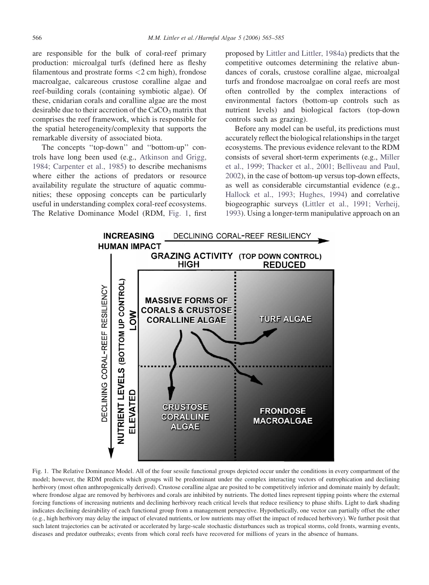<span id="page-1-0"></span>are responsible for the bulk of coral-reef primary production: microalgal turfs (defined here as fleshy filamentous and prostrate forms <2 cm high), frondose macroalgae, calcareous crustose coralline algae and reef-building corals (containing symbiotic algae). Of these, cnidarian corals and coralline algae are the most desirable due to their accretion of the  $CaCO<sub>3</sub>$  matrix that comprises the reef framework, which is responsible for the spatial heterogeneity/complexity that supports the remarkable diversity of associated biota.

The concepts ''top-down'' and ''bottom-up'' controls have long been used (e.g., [Atkinson and Grigg,](#page-16-0) [1984; Carpenter et al., 1985](#page-16-0)) to describe mechanisms where either the actions of predators or resource availability regulate the structure of aquatic communities; these opposing concepts can be particularly useful in understanding complex coral-reef ecosystems. The Relative Dominance Model (RDM, Fig. 1, first proposed by [Littler and Littler, 1984a](#page-18-0)) predicts that the competitive outcomes determining the relative abundances of corals, crustose coralline algae, microalgal turfs and frondose macroalgae on coral reefs are most often controlled by the complex interactions of environmental factors (bottom-up controls such as nutrient levels) and biological factors (top-down controls such as grazing).

Before any model can be useful, its predictions must accurately reflect the biological relationships in the target ecosystems. The previous evidence relevant to the RDM consists of several short-term experiments (e.g., [Miller](#page-19-0) [et al., 1999; Thacker et al., 2001; Belliveau and Paul,](#page-19-0) [2002\)](#page-19-0), in the case of bottom-up versus top-down effects, as well as considerable circumstantial evidence (e.g., [Hallock et al., 1993; Hughes, 1994](#page-17-0)) and correlative biogeographic surveys [\(Littler et al., 1991; Verheij,](#page-19-0) [1993\)](#page-19-0). Using a longer-term manipulative approach on an



Fig. 1. The Relative Dominance Model. All of the four sessile functional groups depicted occur under the conditions in every compartment of the model; however, the RDM predicts which groups will be predominant under the complex interacting vectors of eutrophication and declining herbivory (most often anthropogenically derived). Crustose coralline algae are posited to be competitively inferior and dominate mainly by default; where frondose algae are removed by herbivores and corals are inhibited by nutrients. The dotted lines represent tipping points where the external forcing functions of increasing nutrients and declining herbivory reach critical levels that reduce resiliency to phase shifts. Light to dark shading indicates declining desirability of each functional group from a management perspective. Hypothetically, one vector can partially offset the other (e.g., high herbivory may delay the impact of elevated nutrients, or low nutrients may offset the impact of reduced herbivory). We further posit that such latent trajectories can be activated or accelerated by large-scale stochastic disturbances such as tropical storms, cold fronts, warming events, diseases and predator outbreaks; events from which coral reefs have recovered for millions of years in the absence of humans.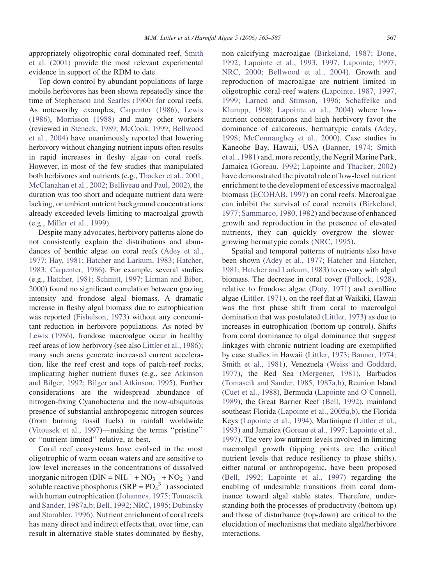appropriately oligotrophic coral-dominated reef, [Smith](#page-20-0) [et al. \(2001\)](#page-20-0) provide the most relevant experimental evidence in support of the RDM to date.

Top-down control by abundant populations of large mobile herbivores has been shown repeatedly since the time of [Stephenson and Searles \(1960\)](#page-20-0) for coral reefs. As noteworthy examples, [Carpenter \(1986\),](#page-16-0) [Lewis](#page-18-0) [\(1986\)](#page-18-0), [Morrisson \(1988\)](#page-19-0) and many other workers (reviewed in [Steneck, 1989; McCook, 1999; Bellwood](#page-20-0) [et al., 2004](#page-20-0)) have unanimously reported that lowering herbivory without changing nutrient inputs often results in rapid increases in fleshy algae on coral reefs. However, in most of the few studies that manipulated both herbivores and nutrients (e.g., [Thacker et al., 2001;](#page-20-0) [McClanahan et al., 2002; Belliveau and Paul, 2002\)](#page-20-0), the duration was too short and adequate nutrient data were lacking, or ambient nutrient background concentrations already exceeded levels limiting to macroalgal growth (e.g., [Miller et al., 1999\)](#page-19-0).

Despite many advocates, herbivory patterns alone do not consistently explain the distributions and abundances of benthic algae on coral reefs ([Adey et al.,](#page-16-0) [1977; Hay, 1981; Hatcher and Larkum, 1983; Hatcher,](#page-16-0) [1983; Carpenter, 1986\)](#page-16-0). For example, several studies (e.g., [Hatcher, 1981; Schmitt, 1997; Lirman and Biber,](#page-17-0) [2000\)](#page-17-0) found no significant correlation between grazing intensity and frondose algal biomass. A dramatic increase in fleshy algal biomass due to eutrophication was reported [\(Fishelson, 1973\)](#page-17-0) without any concomitant reduction in herbivore populations. As noted by [Lewis \(1986\)](#page-18-0), frondose macroalgae occur in healthy reef areas of low herbivory (see also [Littler et al., 1986\)](#page-19-0); many such areas generate increased current acceleration, like the reef crest and tops of patch-reef rocks, implicating higher nutrient fluxes (e.g., see [Atkinson](#page-16-0) [and Bilger, 1992; Bilger and Atkinson, 1995\)](#page-16-0). Further considerations are the widespread abundance of nitrogen-fixing Cyanobacteria and the now-ubiquitous presence of substantial anthropogenic nitrogen sources (from burning fossil fuels) in rainfall worldwide [\(Vitousek et al., 1997\)](#page-20-0)—making the terms ''pristine'' or ''nutrient-limited'' relative, at best.

Coral reef ecosystems have evolved in the most oligotrophic of warm ocean waters and are sensitive to low level increases in the concentrations of dissolved inorganic nitrogen ( $\text{DIN} = \text{NH}_4^+ + \text{NO}_3^- + \text{NO}_2^-$ ) and soluble reactive phosphorus  $(SRP = PO<sub>4</sub><sup>3-</sup>)$  associated with human eutrophication [\(Johannes, 1975; Tomascik](#page-17-0) [and Sander, 1987a,b; Bell, 1992; NRC, 1995; Dubinsky](#page-17-0) [and Stambler, 1996\)](#page-17-0). Nutrient enrichment of coral reefs has many direct and indirect effects that, over time, can result in alternative stable states dominated by fleshy,

non-calcifying macroalgae [\(Birkeland, 1987; Done,](#page-16-0) [1992; Lapointe et al., 1993, 1997; Lapointe, 1997;](#page-16-0) [NRC, 2000; Bellwood et al., 2004](#page-16-0)). Growth and reproduction of macroalgae are nutrient limited in oligotrophic coral-reef waters ([Lapointe, 1987, 1997,](#page-18-0) [1999; Larned and Stimson, 1996; Schaffelke and](#page-18-0) [Klumpp, 1998; Lapointe et al., 2004](#page-18-0)) where lownutrient concentrations and high herbivory favor the dominance of calcareous, hermatypic corals [\(Adey,](#page-16-0) [1998; McConnaughey et al., 2000\)](#page-16-0). Case studies in Kaneohe Bay, Hawaii, USA [\(Banner, 1974; Smith](#page-16-0) [et al., 1981\)](#page-16-0) and, more recently, the Negril Marine Park, Jamaica [\(Goreau, 1992; Lapointe and Thacker, 2002\)](#page-17-0) have demonstrated the pivotal role of low-level nutrient enrichment to the development of excessive macroalgal biomass [\(ECOHAB, 1997](#page-17-0)) on coral reefs. Macroalgae can inhibit the survival of coral recruits [\(Birkeland,](#page-16-0) [1977; Sammarco, 1980, 1982](#page-16-0)) and because of enhanced growth and reproduction in the presence of elevated nutrients, they can quickly overgrow the slowergrowing hermatypic corals ([NRC, 1995](#page-19-0)).

Spatial and temporal patterns of nutrients also have been shown [\(Adey et al., 1977; Hatcher and Hatcher,](#page-16-0) [1981; Hatcher and Larkum, 1983\)](#page-16-0) to co-vary with algal biomass. The decrease in coral cover ([Pollock, 1928](#page-19-0)), relative to frondose algae ([Doty, 1971\)](#page-17-0) and coralline algae [\(Littler, 1971\)](#page-18-0), on the reef flat at Waikiki, Hawaii was the first phase shift from coral to macroalgal domination that was postulated [\(Littler, 1973\)](#page-18-0) as due to increases in eutrophication (bottom-up control). Shifts from coral dominance to algal dominance that suggest linkages with chronic nutrient loading are exemplified by case studies in Hawaii ([Littler, 1973; Banner, 1974;](#page-18-0) [Smith et al., 1981\)](#page-18-0), Venezuela [\(Weiss and Goddard,](#page-20-0) [1977\)](#page-20-0), the Red Sea ([Mergener, 1981](#page-19-0)), Barbados [\(Tomascik and Sander, 1985, 1987a,b\)](#page-20-0), Reunion Island [\(Cuet et al., 1988\)](#page-16-0), Bermuda ([Lapointe and O'Connell,](#page-18-0) [1989\)](#page-18-0), the Great Barrier Reef ([Bell, 1992\)](#page-16-0), mainland southeast Florida [\(Lapointe et al., 2005a,b](#page-18-0)), the Florida Keys [\(Lapointe et al., 1994\)](#page-18-0), Martinique [\(Littler et al.,](#page-18-0) [1993\)](#page-18-0) and Jamaica [\(Goreau et al., 1997; Lapointe et al.,](#page-17-0) [1997\)](#page-17-0). The very low nutrient levels involved in limiting macroalgal growth (tipping points are the critical nutrient levels that reduce resiliency to phase shifts), either natural or anthropogenic, have been proposed [\(Bell, 1992; Lapointe et al., 1997\)](#page-16-0) regarding the enabling of undesirable transitions from coral dominance toward algal stable states. Therefore, understanding both the processes of productivity (bottom-up) and those of disturbance (top-down) are critical to the elucidation of mechanisms that mediate algal/herbivore interactions.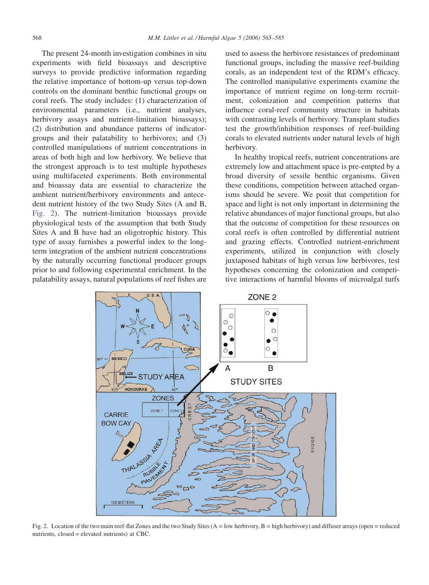<span id="page-3-0"></span>The present 24-month investigation combines in situ experiments with field bioassays and descriptive surveys to provide predictive information regarding the relative importance of bottom-up versus top-down controls on the dominant benthic functional groups on coral reefs. The study includes: (1) characterization of environmental parameters (i.e., nutrient analyses, herbivory assays and nutrient-limitation bioassays); (2) distribution and abundance patterns of indicatorgroups and their palatability to herbivores; and (3) controlled manipulations of nutrient concentrations in areas of both high and low herbivory. We believe that the strongest approach is to test multiple hypotheses using multifaceted experiments. Both environmental and bioassay data are essential to characterize the ambient nutrient/herbivory environments and antecedent nutrient history of the two Study Sites (A and B, Fig. 2). The nutrient-limitation bioassays provide physiological tests of the assumption that both Study Sites A and B have had an oligotrophic history. This type of assay furnishes a powerful index to the longterm integration of the ambient nutrient concentrations by the naturally occurring functional producer groups prior to and following experimental enrichment. In the palatability assays, natural populations of reef fishes are

used to assess the herbivore resistances of predominant functional groups, including the massive reef-building corals, as an independent test of the RDM's efficacy. The controlled manipulative experiments examine the importance of nutrient regime on long-term recruitment, colonization and competition patterns that influence coral-reef community structure in habitats with contrasting levels of herbivory. Transplant studies test the growth/inhibition responses of reef-building corals to elevated nutrients under natural levels of high herbivory.

In healthy tropical reefs, nutrient concentrations are extremely low and attachment space is pre-empted by a broad diversity of sessile benthic organisms. Given these conditions, competition between attached organisms should be severe. We posit that competition for space and light is not only important in determining the relative abundances of major functional groups, but also that the outcome of competition for these resources on coral reefs is often controlled by differential nutrient and grazing effects. Controlled nutrient-enrichment experiments, utilized in conjunction with closely juxtaposed habitats of high versus low herbivores, test hypotheses concerning the colonization and competitive interactions of harmful blooms of microalgal turfs



Fig. 2. Location of the two main reef-flat Zones and the two Study Sites  $(A = low \, h$  herbivory,  $B = high \, h$  herbivory) and diffuser arrays (open = reduced nutrients, closed = elevated nutrients) at CBC.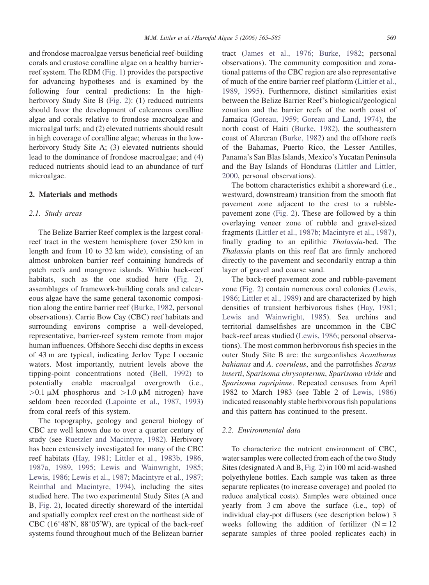and frondose macroalgae versus beneficial reef-building corals and crustose coralline algae on a healthy barrierreef system. The RDM [\(Fig. 1](#page-1-0)) provides the perspective for advancing hypotheses and is examined by the following four central predictions: In the highherbivory Study Site B ([Fig. 2\)](#page-3-0): (1) reduced nutrients should favor the development of calcareous coralline algae and corals relative to frondose macroalgae and microalgal turfs; and (2) elevated nutrients should result in high coverage of coralline algae; whereas in the lowherbivory Study Site A; (3) elevated nutrients should lead to the dominance of frondose macroalgae; and (4) reduced nutrients should lead to an abundance of turf microalgae.

## 2. Materials and methods

# 2.1. Study areas

The Belize Barrier Reef complex is the largest coralreef tract in the western hemisphere (over 250 km in length and from 10 to 32 km wide), consisting of an almost unbroken barrier reef containing hundreds of patch reefs and mangrove islands. Within back-reef habitats, such as the one studied here [\(Fig. 2](#page-3-0)), assemblages of framework-building corals and calcareous algae have the same general taxonomic composition along the entire barrier reef ([Burke, 1982](#page-16-0), personal observations). Carrie Bow Cay (CBC) reef habitats and surrounding environs comprise a well-developed, representative, barrier-reef system remote from major human influences. Offshore Secchi disc depths in excess of 43 m are typical, indicating Jerlov Type I oceanic waters. Most importantly, nutrient levels above the tipping-point concentrations noted ([Bell, 1992\)](#page-16-0) to potentially enable macroalgal overgrowth (i.e.,  $>0.1 \mu M$  phosphorus and  $>1.0 \mu M$  nitrogen) have seldom been recorded ([Lapointe et al., 1987, 1993\)](#page-18-0) from coral reefs of this system.

The topography, geology and general biology of CBC are well known due to over a quarter century of study (see [Ruetzler and Macintyre, 1982](#page-19-0)). Herbivory has been extensively investigated for many of the CBC reef habitats ([Hay, 1981; Littler et al., 1983b, 1986,](#page-17-0) [1987a, 1989, 1995; Lewis and Wainwright, 1985;](#page-17-0) [Lewis, 1986; Lewis et al., 1987; Macintyre et al., 1987;](#page-17-0) [Reinthal and Macintyre, 1994\)](#page-17-0), including the sites studied here. The two experimental Study Sites (A and B, [Fig. 2\)](#page-3-0), located directly shoreward of the intertidal and spatially complex reef crest on the northeast side of CBC (16 $\degree$ 48'N, 88 $\degree$ 05'W), are typical of the back-reef systems found throughout much of the Belizean barrier tract [\(James et al., 1976; Burke, 1982](#page-17-0); personal observations). The community composition and zonational patterns of the CBC region are also representative of much of the entire barrier reef platform ([Littler et al.,](#page-19-0) [1989, 1995\)](#page-19-0). Furthermore, distinct similarities exist between the Belize Barrier Reef's biological/geological zonation and the barrier reefs of the north coast of Jamaica [\(Goreau, 1959; Goreau and Land, 1974](#page-17-0)), the north coast of Haiti [\(Burke, 1982\)](#page-16-0), the southeastern coast of Alarcran [\(Burke, 1982](#page-16-0)) and the offshore reefs of the Bahamas, Puerto Rico, the Lesser Antilles, Panama's San Blas Islands, Mexico's Yucatan Peninsula and the Bay Islands of Honduras ([Littler and Littler,](#page-18-0) [2000,](#page-18-0) personal observations).

The bottom characteristics exhibit a shoreward (i.e., westward, downstream) transition from the smooth flat pavement zone adjacent to the crest to a rubblepavement zone [\(Fig. 2](#page-3-0)). These are followed by a thin overlaying veneer zone of rubble and gravel-sized fragments ([Littler et al., 1987b; Macintyre et al., 1987](#page-19-0)), finally grading to an epilithic Thalassia-bed. The Thalassia plants on this reef flat are firmly anchored directly to the pavement and secondarily entrap a thin layer of gravel and coarse sand.

The back-reef pavement zone and rubble-pavement zone [\(Fig. 2](#page-3-0)) contain numerous coral colonies [\(Lewis,](#page-18-0) [1986; Littler et al., 1989](#page-18-0)) and are characterized by high densities of transient herbivorous fishes [\(Hay, 1981;](#page-17-0) [Lewis and Wainwright, 1985\)](#page-17-0). Sea urchins and territorial damselfishes are uncommon in the CBC back-reef areas studied [\(Lewis, 1986;](#page-18-0) personal observations). The most common herbivorous fish species in the outer Study Site B are: the surgeonfishes Acanthurus bahianus and A. coeruleus, and the parrotfishes Scarus inserti, Sparisoma chrysopterum, Sparisoma viride and Sparisoma rupripinne. Repeated censuses from April 1982 to March 1983 (see Table 2 of [Lewis, 1986\)](#page-18-0) indicated reasonably stable herbivorous fish populations and this pattern has continued to the present.

## 2.2. Environmental data

To characterize the nutrient environment of CBC, water samples were collected from each of the two Study Sites (designated A and B, [Fig. 2](#page-3-0)) in 100 ml acid-washed polyethylene bottles. Each sample was taken as three separate replicates (to increase coverage) and pooled (to reduce analytical costs). Samples were obtained once yearly from 3 cm above the surface (i.e., top) of individual clay-pot diffusers (see description below) 3 weeks following the addition of fertilizer  $(N = 12)$ separate samples of three pooled replicates each) in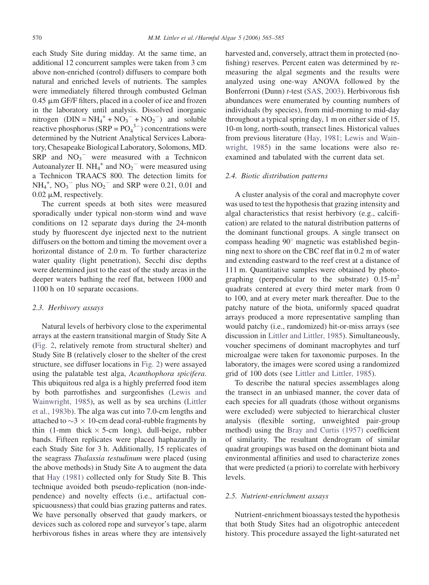each Study Site during midday. At the same time, an additional 12 concurrent samples were taken from 3 cm above non-enriched (control) diffusers to compare both natural and enriched levels of nutrients. The samples were immediately filtered through combusted Gelman  $0.45 \mu m$  GF/F filters, placed in a cooler of ice and frozen in the laboratory until analysis. Dissolved inorganic nitrogen  $(DIN = NH_4^+ + NO_3^- + NO_2^-)$  and soluble reactive phosphorus (SRP =  $PO<sub>4</sub><sup>3–</sup>$ ) concentrations were determined by the Nutrient Analytical Services Laboratory, Chesapeake Biological Laboratory, Solomons, MD. SRP and  $NO<sub>3</sub><sup>-</sup>$  were measured with a Technicon Autoanalyzer II.  $NH_4^+$  and  $NO_2^-$  were measured using a Technicon TRAACS 800. The detection limits for  $NH_4^+$ ,  $NO_3^-$  plus  $NO_2^-$  and SRP were 0.21, 0.01 and  $0.02 \mu M$ , respectively.

The current speeds at both sites were measured sporadically under typical non-storm wind and wave conditions on 12 separate days during the 24-month study by fluorescent dye injected next to the nutrient diffusers on the bottom and timing the movement over a horizontal distance of 2.0 m. To further characterize water quality (light penetration), Secchi disc depths were determined just to the east of the study areas in the deeper waters bathing the reef flat, between 1000 and 1100 h on 10 separate occasions.

## 2.3. Herbivory assays

Natural levels of herbivory close to the experimental arrays at the eastern transitional margin of Study Site A [\(Fig. 2](#page-3-0), relatively remote from structural shelter) and Study Site B (relatively closer to the shelter of the crest structure, see diffuser locations in [Fig. 2](#page-3-0)) were assayed using the palatable test alga, Acanthophora spicifera. This ubiquitous red alga is a highly preferred food item by both parrotfishes and surgeonfishes ([Lewis and](#page-18-0) [Wainwright, 1985\)](#page-18-0), as well as by sea urchins [\(Littler](#page-19-0) [et al., 1983b](#page-19-0)). The alga was cut into 7.0-cm lengths and attached to  $\sim$ 3  $\times$  10-cm dead coral-rubble fragments by thin (1-mm thick  $\times$  5-cm long), dull-beige, rubber bands. Fifteen replicates were placed haphazardly in each Study Site for 3 h. Additionally, 15 replicates of the seagrass Thalassia testudinum were placed (using the above methods) in Study Site A to augment the data that [Hay \(1981\)](#page-17-0) collected only for Study Site B. This technique avoided both pseudo-replication (non-independence) and novelty effects (i.e., artifactual conspicuousness) that could bias grazing patterns and rates. We have personally observed that gaudy markers, or devices such as colored rope and surveyor's tape, alarm herbivorous fishes in areas where they are intensively

harvested and, conversely, attract them in protected (nofishing) reserves. Percent eaten was determined by remeasuring the algal segments and the results were analyzed using one-way ANOVA followed by the Bonferroni (Dunn) t-test ([SAS, 2003\)](#page-19-0). Herbivorous fish abundances were enumerated by counting numbers of individuals (by species), from mid-morning to mid-day throughout a typical spring day, 1 m on either side of 15, 10-m long, north-south, transect lines. Historical values from previous literature ([Hay, 1981; Lewis and Wain](#page-17-0)[wright, 1985](#page-17-0)) in the same locations were also reexamined and tabulated with the current data set.

#### 2.4. Biotic distribution patterns

A cluster analysis of the coral and macrophyte cover was used to test the hypothesis that grazing intensity and algal characteristics that resist herbivory (e.g., calcification) are related to the natural distribution patterns of the dominant functional groups. A single transect on compass heading  $90^\circ$  magnetic was established beginning next to shore on the CBC reef flat in 0.2 m of water and extending eastward to the reef crest at a distance of 111 m. Quantitative samples were obtained by photographing (perpendicular to the substrate)  $0.15 \text{ m}^2$ quadrats centered at every third meter mark from 0 to 100, and at every meter mark thereafter. Due to the patchy nature of the biota, uniformly spaced quadrat arrays produced a more representative sampling than would patchy (i.e., randomized) hit-or-miss arrays (see discussion in [Littler and Littler, 1985\)](#page-18-0). Simultaneously, voucher specimens of dominant macrophytes and turf microalgae were taken for taxonomic purposes. In the laboratory, the images were scored using a randomized grid of 100 dots (see [Littler and Littler, 1985\)](#page-18-0).

To describe the natural species assemblages along the transect in an unbiased manner, the cover data of each species for all quadrats (those without organisms were excluded) were subjected to hierarchical cluster analysis (flexible sorting, unweighted pair-group method) using the [Bray and Curtis \(1957\)](#page-16-0) coefficient of similarity. The resultant dendrogram of similar quadrat groupings was based on the dominant biota and environmental affinities and used to characterize zones that were predicted (a priori) to correlate with herbivory levels.

#### 2.5. Nutrient-enrichment assays

Nutrient-enrichment bioassays tested the hypothesis that both Study Sites had an oligotrophic antecedent history. This procedure assayed the light-saturated net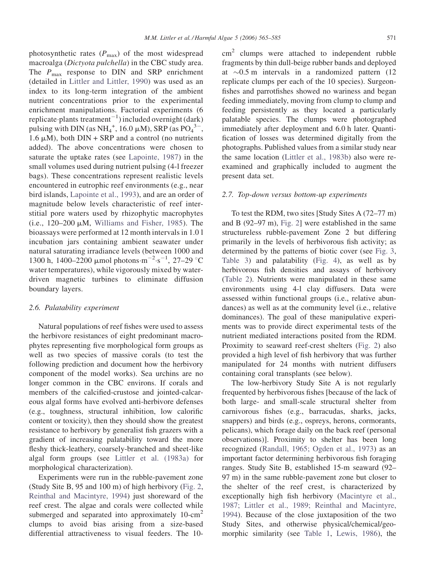photosynthetic rates  $(P_{\text{max}})$  of the most widespread macroalga (Dictyota pulchella) in the CBC study area. The  $P_{\text{max}}$  response to DIN and SRP enrichment (detailed in [Littler and Littler, 1990\)](#page-18-0) was used as an index to its long-term integration of the ambient nutrient concentrations prior to the experimental enrichment manipulations. Factorial experiments (6 replicate plants treatment<sup>-1</sup>) included overnight (dark) pulsing with DIN (as  $NH_4^+$ , 16.0  $\mu$ M), SRP (as PO<sub>4</sub><sup>3-</sup>,  $1.6 \mu M$ ), both DIN + SRP and a control (no nutrients added). The above concentrations were chosen to saturate the uptake rates (see [Lapointe, 1987\)](#page-18-0) in the small volumes used during nutrient pulsing (4-l freezer bags). These concentrations represent realistic levels encountered in eutrophic reef environments (e.g., near bird islands, [Lapointe et al., 1993](#page-18-0)), and are an order of magnitude below levels characteristic of reef interstitial pore waters used by rhizophytic macrophytes (i.e.,  $120-200 \mu M$ , [Williams and Fisher, 1985](#page-20-0)). The bioassays were performed at 12 month intervals in 1.0 l incubation jars containing ambient seawater under natural saturating irradiance levels (between 1000 and 1300 h, 1400–2200 µmol photons  $m^{-2}$  s<sup>-1</sup>, 27–29 °C water temperatures), while vigorously mixed by waterdriven magnetic turbines to eliminate diffusion boundary layers.

## 2.6. Palatability experiment

Natural populations of reef fishes were used to assess the herbivore resistances of eight predominant macrophytes representing five morphological form groups as well as two species of massive corals (to test the following prediction and document how the herbivory component of the model works). Sea urchins are no longer common in the CBC environs. If corals and members of the calcified-crustose and jointed-calcareous algal forms have evolved anti-herbivore defenses (e.g., toughness, structural inhibition, low calorific content or toxicity), then they should show the greatest resistance to herbivory by generalist fish grazers with a gradient of increasing palatability toward the more fleshy thick-leathery, coarsely-branched and sheet-like algal form groups (see [Littler et al. \(1983a\)](#page-18-0) for morphological characterization).

Experiments were run in the rubble-pavement zone (Study Site B, 95 and 100 m) of high herbivory [\(Fig. 2,](#page-3-0) [Reinthal and Macintyre, 1994\)](#page-19-0) just shoreward of the reef crest. The algae and corals were collected while submerged and separated into approximately  $10$ -cm<sup>2</sup> clumps to avoid bias arising from a size-based differential attractiveness to visual feeders. The 10 $\text{cm}^2$  clumps were attached to independent rubble fragments by thin dull-beige rubber bands and deployed at  $\sim$ 0.5 m intervals in a randomized pattern (12 replicate clumps per each of the 10 species). Surgeonfishes and parrotfishes showed no wariness and began feeding immediately, moving from clump to clump and feeding persistently as they located a particularly palatable species. The clumps were photographed immediately after deployment and 6.0 h later. Quantification of losses was determined digitally from the photographs. Published values from a similar study near the same location ([Littler et al., 1983b](#page-19-0)) also were reexamined and graphically included to augment the present data set.

#### 2.7. Top-down versus bottom-up experiments

To test the RDM, two sites [Study Sites A (72–77 m) and B (92–97 m), [Fig. 2](#page-3-0)] were established in the same structureless rubble-pavement Zone 2 but differing primarily in the levels of herbivorous fish activity; as determined by the patterns of biotic cover (see [Fig. 3,](#page-7-0) [Table 3](#page-10-0)) and palatability ([Fig. 4\)](#page-7-0), as well as by herbivorous fish densities and assays of herbivory [\(Table 2\)](#page-9-0). Nutrients were manipulated in these same environments using 4-l clay diffusers. Data were assessed within functional groups (i.e., relative abundances) as well as at the community level (i.e., relative dominances). The goal of these manipulative experiments was to provide direct experimental tests of the nutrient mediated interactions posited from the RDM. Proximity to seaward reef-crest shelters ([Fig. 2\)](#page-3-0) also provided a high level of fish herbivory that was further manipulated for 24 months with nutrient diffusers containing coral transplants (see below).

The low-herbivory Study Site A is not regularly frequented by herbivorous fishes [because of the lack of both large- and small-scale structural shelter from carnivorous fishes (e.g., barracudas, sharks, jacks, snappers) and birds (e.g., ospreys, herons, cormorants, pelicans), which forage daily on the back reef (personal observations)]. Proximity to shelter has been long recognized ([Randall, 1965; Ogden et al., 1973](#page-19-0)) as an important factor determining herbivorous fish foraging ranges. Study Site B, established 15-m seaward (92– 97 m) in the same rubble-pavement zone but closer to the shelter of the reef crest, is characterized by exceptionally high fish herbivory ([Macintyre et al.,](#page-19-0) [1987; Littler et al., 1989; Reinthal and Macintyre,](#page-19-0) [1994\)](#page-19-0). Because of the close juxtaposition of the two Study Sites, and otherwise physical/chemical/geomorphic similarity (see [Table 1](#page-8-0), [Lewis, 1986](#page-18-0)), the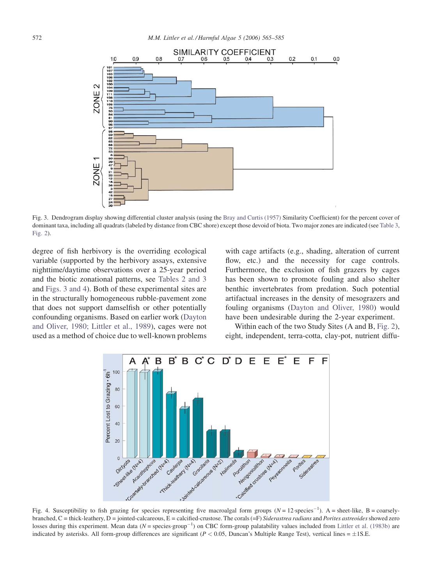<span id="page-7-0"></span>

Fig. 3. Dendrogram display showing differential cluster analysis (using the [Bray and Curtis \(1957\)](#page-16-0) Similarity Coefficient) for the percent cover of dominant taxa, including all quadrats (labeled by distance from CBC shore) except those devoid of biota. Two major zones are indicated (see [Table 3](#page-10-0), [Fig. 2](#page-3-0)).

degree of fish herbivory is the overriding ecological variable (supported by the herbivory assays, extensive nighttime/daytime observations over a 25-year period and the biotic zonational patterns, see [Tables 2 and 3](#page-9-0) and Figs. 3 and 4). Both of these experimental sites are in the structurally homogeneous rubble-pavement zone that does not support damselfish or other potentially confounding organisms. Based on earlier work ([Dayton](#page-16-0) [and Oliver, 1980; Littler et al., 1989\)](#page-16-0), cages were not used as a method of choice due to well-known problems

with cage artifacts (e.g., shading, alteration of current flow, etc.) and the necessity for cage controls. Furthermore, the exclusion of fish grazers by cages has been shown to promote fouling and also shelter benthic invertebrates from predation. Such potential artifactual increases in the density of mesograzers and fouling organisms ([Dayton and Oliver, 1980](#page-16-0)) would have been undesirable during the 2-year experiment.

Within each of the two Study Sites (A and B, [Fig. 2\)](#page-3-0), eight, independent, terra-cotta, clay-pot, nutrient diffu-



Fig. 4. Susceptibility to fish grazing for species representing five macroalgal form groups  $(N = 12$ -species<sup>-1</sup>). A = sheet-like, B = coarselybranched,  $C =$  thick-leathery,  $D =$  jointed-calcareous,  $E =$  calcified-crustose. The corals (=F) Siderastrea radians and Porites astreoides showed zero losses during this experiment. Mean data ( $N = \text{species-group}^{-1}$ ) on CBC form-group palatability values included from [Littler et al. \(1983b\)](#page-19-0) are indicated by asterisks. All form-group differences are significant ( $P < 0.05$ , Duncan's Multiple Range Test), vertical lines =  $\pm$ 1S.E.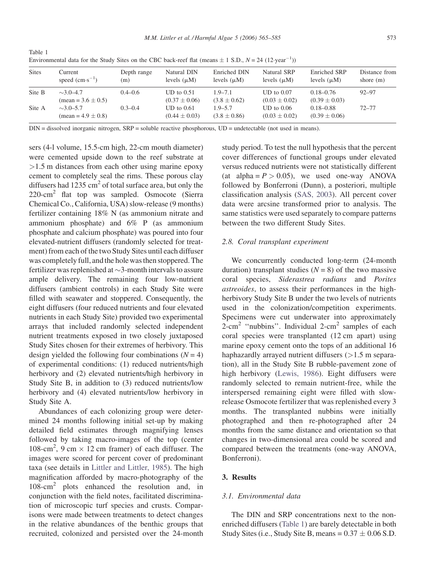| <b>Sites</b> | Current<br>speed $\rm (cm\cdot s^{-1})$         | Depth range<br>(m) | Natural DIN<br>levels $(\mu M)$     | Enriched DIN<br>levels $(\mu M)$ | Natural SRP<br>levels $(\mu M)$     | Enriched SRP<br>levels $(\mu M)$   | Distance from<br>shore $(m)$ |
|--------------|-------------------------------------------------|--------------------|-------------------------------------|----------------------------------|-------------------------------------|------------------------------------|------------------------------|
| Site B       | $\sim$ 3.0–4.7<br>$(\text{mean} = 3.6 \pm 0.5)$ | $0.4 - 0.6$        | $UD$ to $0.51$<br>$(0.37 \pm 0.06)$ | $1.9 - 7.1$<br>$(3.8 \pm 0.62)$  | $UD$ to $0.07$<br>$(0.03 \pm 0.02)$ | $0.18 - 0.76$<br>$(0.39 \pm 0.03)$ | $92 - 97$                    |
| Site A       | $\sim$ 3.0–5.7<br>$mean = 4.9 \pm 0.8$          | $0.3 - 0.4$        | $UD$ to $0.61$<br>$(0.44 \pm 0.03)$ | $1.9 - 5.7$<br>$(3.8 \pm 0.86)$  | $UD$ to $0.06$<br>$(0.03 \pm 0.02)$ | $0.18 - 0.88$<br>$(0.39 \pm 0.06)$ | $72 - 77$                    |

<span id="page-8-0"></span>Table 1 Environmental data for the Study Sites on the CBC back-reef flat (means  $\pm$  1 S.D.,  $N = 24$  (12-year<sup>-1</sup>))

DIN = dissolved inorganic nitrogen, SRP = soluble reactive phosphorous, UD = undetectable (not used in means).

sers (4-l volume, 15.5-cm high, 22-cm mouth diameter) were cemented upside down to the reef substrate at >1.5 m distances from each other using marine epoxy cement to completely seal the rims. These porous clay diffusers had  $1235 \text{ cm}^2$  of total surface area, but only the 220-cm2 flat top was sampled. Osmocote (Sierra Chemical Co., California, USA) slow-release (9 months) fertilizer containing 18% N (as ammonium nitrate and ammonium phosphate) and 6% P (as ammonium phosphate and calcium phosphate) was poured into four elevated-nutrient diffusers (randomly selected for treatment) from each of the two Study Sites until each diffuser was completely full, and the hole was then stoppered. The fertilizer was replenished at  $\sim$ 3-month intervals to assure ample delivery. The remaining four low-nutrient diffusers (ambient controls) in each Study Site were filled with seawater and stoppered. Consequently, the eight diffusers (four reduced nutrients and four elevated nutrients in each Study Site) provided two experimental arrays that included randomly selected independent nutrient treatments exposed in two closely juxtaposed Study Sites chosen for their extremes of herbivory. This design yielded the following four combinations  $(N = 4)$ of experimental conditions: (1) reduced nutrients/high herbivory and (2) elevated nutrients/high herbivory in Study Site B, in addition to (3) reduced nutrients/low herbivory and (4) elevated nutrients/low herbivory in Study Site A.

Abundances of each colonizing group were determined 24 months following initial set-up by making detailed field estimates through magnifying lenses followed by taking macro-images of the top (center 108-cm<sup>2</sup>, 9 cm  $\times$  12 cm framer) of each diffuser. The images were scored for percent cover of predominant taxa (see details in [Littler and Littler, 1985\)](#page-18-0). The high magnification afforded by macro-photography of the 108-cm2 plots enhanced the resolution and, in conjunction with the field notes, facilitated discrimination of microscopic turf species and crusts. Comparisons were made between treatments to detect changes in the relative abundances of the benthic groups that recruited, colonized and persisted over the 24-month

study period. To test the null hypothesis that the percent cover differences of functional groups under elevated versus reduced nutrients were not statistically different (at alpha =  $P > 0.05$ ), we used one-way ANOVA followed by Bonferroni (Dunn), a posteriori, multiple classification analysis [\(SAS, 2003\)](#page-19-0). All percent cover data were arcsine transformed prior to analysis. The same statistics were used separately to compare patterns between the two different Study Sites.

## 2.8. Coral transplant experiment

We concurrently conducted long-term (24-month duration) transplant studies  $(N = 8)$  of the two massive coral species, Siderastrea radians and Porites astreoides, to assess their performances in the highherbivory Study Site B under the two levels of nutrients used in the colonization/competition experiments. Specimens were cut underwater into approximately  $2$ -cm<sup>2</sup> "nubbins". Individual  $2$ -cm<sup>2</sup> samples of each coral species were transplanted (12 cm apart) using marine epoxy cement onto the tops of an additional 16 haphazardly arrayed nutrient diffusers  $(>1.5 \text{ m} \text{ separa-}$ tion), all in the Study Site B rubble-pavement zone of high herbivory ([Lewis, 1986\)](#page-18-0). Eight diffusers were randomly selected to remain nutrient-free, while the interspersed remaining eight were filled with slowrelease Osmocote fertilizer that was replenished every 3 months. The transplanted nubbins were initially photographed and then re-photographed after 24 months from the same distance and orientation so that changes in two-dimensional area could be scored and compared between the treatments (one-way ANOVA, Bonferroni).

#### 3. Results

# 3.1. Environmental data

The DIN and SRP concentrations next to the nonenriched diffusers (Table 1) are barely detectable in both Study Sites (i.e., Study Site B, means =  $0.37 \pm 0.06$  S.D.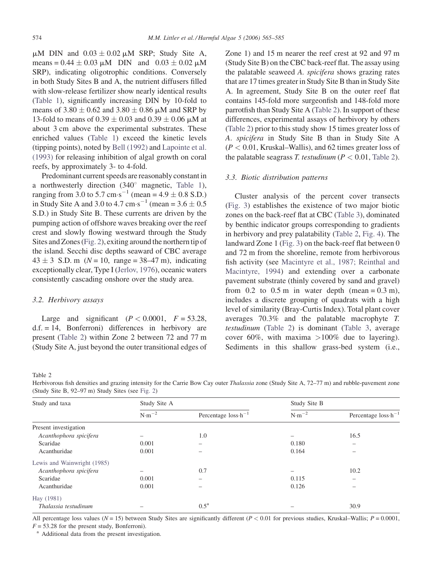<span id="page-9-0"></span> $\mu$ M DIN and  $0.03 \pm 0.02 \mu$ M SRP; Study Site A, means =  $0.44 \pm 0.03 \mu M$  DIN and  $0.03 \pm 0.02 \mu M$ SRP), indicating oligotrophic conditions. Conversely in both Study Sites B and A, the nutrient diffusers filled with slow-release fertilizer show nearly identical results [\(Table 1\)](#page-8-0), significantly increasing DIN by 10-fold to means of  $3.80 \pm 0.62$  and  $3.80 \pm 0.86$  µM and SRP by 13-fold to means of  $0.39 \pm 0.03$  and  $0.39 \pm 0.06$   $\mu$ M at about 3 cm above the experimental substrates. These enriched values ([Table 1](#page-8-0)) exceed the kinetic levels (tipping points), noted by [Bell \(1992\)](#page-16-0) and [Lapointe et al.](#page-18-0) [\(1993\)](#page-18-0) for releasing inhibition of algal growth on coral reefs, by approximately 3- to 4-fold.

Predominant current speeds are reasonably constant in a northwesterly direction  $(340^{\circ}$  magnetic, [Table 1\)](#page-8-0), ranging from 3.0 to 5.7 cm $\cdot$ s<sup>-1</sup> (mean = 4.9  $\pm$  0.8 S.D.) in Study Site A and 3.0 to 4.7 cm $\cdot$ s<sup>-1</sup> (mean = 3.6  $\pm$  0.5 S.D.) in Study Site B. These currents are driven by the pumping action of offshore waves breaking over the reef crest and slowly flowing westward through the Study Sites and Zones ([Fig. 2\)](#page-3-0), exiting around the northern tip of the island. Secchi disc depths seaward of CBC average  $43 \pm 3$  S.D. m ( $N = 10$ , range = 38–47 m), indicating exceptionally clear, Type I [\(Jerlov, 1976\)](#page-17-0), oceanic waters consistently cascading onshore over the study area.

## 3.2. Herbivory assays

Large and significant  $(P < 0.0001, F = 53.28,$  $d.f. = 14$ , Bonferroni) differences in herbivory are present (Table 2) within Zone 2 between 72 and 77 m (Study Site A, just beyond the outer transitional edges of

Zone 1) and 15 m nearer the reef crest at 92 and 97 m (Study Site B) on the CBC back-reef flat. The assay using the palatable seaweed A. spicifera shows grazing rates that are 17 times greater in Study Site B than in Study Site A. In agreement, Study Site B on the outer reef flat contains 145-fold more surgeonfish and 148-fold more parrotfish than Study Site A (Table 2). In support of these differences, experimental assays of herbivory by others (Table 2) prior to this study show 15 times greater loss of A. spicifera in Study Site B than in Study Site A  $(P < 0.01$ , Kruskal–Wallis), and 62 times greater loss of the palatable seagrass T. testudinum ( $P < 0.01$ , Table 2).

#### 3.3. Biotic distribution patterns

Cluster analysis of the percent cover transects ([Fig. 3](#page-7-0)) establishes the existence of two major biotic zones on the back-reef flat at CBC ([Table 3](#page-10-0)), dominated by benthic indicator groups corresponding to gradients in herbivory and prey palatability (Table 2, [Fig. 4](#page-7-0)). The landward Zone 1 [\(Fig. 3\)](#page-7-0) on the back-reef flat between 0 and 72 m from the shoreline, remote from herbivorous fish activity (see [Macintyre et al., 1987; Reinthal and](#page-19-0) [Macintyre, 1994](#page-19-0)) and extending over a carbonate pavement substrate (thinly covered by sand and gravel) from  $0.2$  to  $0.5$  m in water depth (mean =  $0.3$  m), includes a discrete grouping of quadrats with a high level of similarity (Bray-Curtis Index). Total plant cover averages 70.3% and the palatable macrophyte T. testudinum (Table 2) is dominant ([Table 3,](#page-10-0) average cover 60%, with maxima  $>100\%$  due to layering). Sediments in this shallow grass-bed system (i.e.,

#### Table 2

Herbivorous fish densities and grazing intensity for the Carrie Bow Cay outer Thalassia zone (Study Site A, 72–77 m) and rubble-pavement zone (Study Site B, 92–97 m) Study Sites (see [Fig. 2](#page-3-0))

| Study and taxa              | Study Site A     |                                | Study Site B     |                                |
|-----------------------------|------------------|--------------------------------|------------------|--------------------------------|
|                             | $N \cdot m^{-2}$ | Percentage $loss \cdot h^{-1}$ | $N \cdot m^{-2}$ | Percentage $loss \cdot h^{-1}$ |
| Present investigation       |                  |                                |                  |                                |
| Acanthophora spicifera      |                  | 1.0                            |                  | 16.5                           |
| Scaridae                    | 0.001            | $\overline{\phantom{0}}$       | 0.180            |                                |
| Acanthuridae                | 0.001            | -                              | 0.164            |                                |
| Lewis and Wainwright (1985) |                  |                                |                  |                                |
| Acanthophora spicifera      |                  | 0.7                            |                  | 10.2                           |
| Scaridae                    | 0.001            | $\overline{\phantom{0}}$       | 0.115            |                                |
| Acanthuridae                | 0.001            |                                | 0.126            |                                |
| Hay (1981)                  |                  |                                |                  |                                |
| Thalassia testudinum        |                  | $0.5^{\mathrm{a}}$             | -                | 30.9                           |

All percentage loss values ( $N = 15$ ) between Study Sites are significantly different ( $P < 0.01$  for previous studies, Kruskal–Wallis;  $P = 0.0001$ ,

 $F = 53.28$  for the present study, Bonferroni).

<sup>a</sup> Additional data from the present investigation.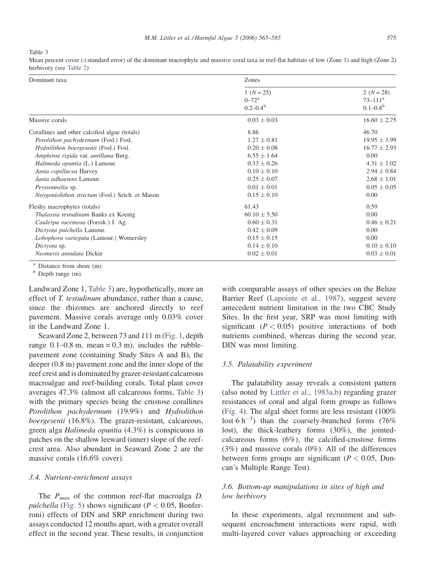<span id="page-10-0"></span>Table 3

Mean percent cover  $(\pm \text{standard error})$  of the dominant macrophyte and massive coral taxa in reef-flat habitats of low (Zone 1) and high (Zone 2) herbivory (see [Table 2\)](#page-9-0)

| Dominant taxa                                   | Zones                                             |                                                                |  |  |
|-------------------------------------------------|---------------------------------------------------|----------------------------------------------------------------|--|--|
|                                                 | $1 (N = 25)$<br>$0 - 72^{\rm a}$<br>$0.2 - 0.4^b$ | $2 (N = 28)$<br>$73 - 111$ <sup>a</sup><br>$0.1 - 0.8^{\rm b}$ |  |  |
| Massive corals                                  | $0.03 \pm 0.03$                                   | $16.60 \pm 2.75$                                               |  |  |
| Corallines and other calcified algae (totals)   | 8.86                                              | 46.70                                                          |  |  |
| Porolithon pachydermum (Fosl.) Fosl.            | $1.27 + 0.81$                                     | $19.95 \pm 3.99$                                               |  |  |
| Hydrolithon boergesenii (Fosl.) Fosl.           | $0.20 \pm 0.08$                                   | $16.77 \pm 2.93$                                               |  |  |
| Amphiroa rigida var. antillana Børg.            | $6.55 \pm 1.64$                                   | 0.00                                                           |  |  |
| Halimeda opuntia (L.) Lamour.                   | $0.33 \pm 0.26$                                   | $4.31 \pm 1.02$                                                |  |  |
| Jania capillacea Harvey                         | $0.10 \pm 0.10$                                   | $2.94 \pm 0.84$                                                |  |  |
| Jania adhaerens Lamour.                         | $0.25 \pm 0.07$                                   | $2.68 \pm 1.01$                                                |  |  |
| Peyssonnelia sp.                                | $0.01 \pm 0.01$                                   | $0.05 \pm 0.05$                                                |  |  |
| Neogoniolithon strictum (Fosl.) Setch. et Mason | $0.15 \pm 0.10$                                   | 0.00                                                           |  |  |
| Fleshy macrophytes (totals)                     | 61.43                                             | 0.59                                                           |  |  |
| Thalassia testudinum Banks ex Koenig            | $60.10 \pm 5.50$                                  | 0.00                                                           |  |  |
| Caulerpa racemosa (Forssk.) J. Ag.              | $0.60 \pm 0.31$                                   | $0.46 \pm 0.21$                                                |  |  |
| Dictyota pulchella Lamour.                      | $0.42 \pm 0.09$                                   | 0.00                                                           |  |  |
| Lobophora variegata (Lamour.) Womersley         | $0.15 \pm 0.15$                                   | 0.00                                                           |  |  |
| Dictyota sp.                                    | $0.14 \pm 0.10$                                   | $0.10 \pm 0.10$                                                |  |  |
| Neomeris annulata Dickie                        | $0.02 \pm 0.01$                                   | $0.03 \pm 0.01$                                                |  |  |

 $a<sup>b</sup>$  Distance from shore (m).

Landward Zone 1, Table 3) are, hypothetically, more an effect of *T. testudinum* abundance, rather than a cause, since the rhizomes are anchored directly to reef pavement. Massive corals average only 0.03% cover in the Landward Zone 1.

Seaward Zone 2, between 73 and 111 m [\(Fig. 1,](#page-1-0) depth range  $0.1-0.8$  m, mean =  $0.3$  m), includes the rubblepavement zone (containing Study Sites A and B), the deeper (0.8 m) pavement zone and the inner slope of the reef crest and is dominated by grazer-resistant calcareous macroalgae and reef-building corals. Total plant cover averages 47.3% (almost all calcareous forms, Table 3) with the primary species being the crustose corallines Porolithon pachydermum (19.9%) and Hydrolithon boergesenii (16.8%). The grazer-resistant, calcareous, green alga Halimeda opuntia (4.3%) is conspicuous in patches on the shallow leeward (inner) slope of the reefcrest area. Also abundant in Seaward Zone 2 are the massive corals (16.6% cover).

#### 3.4. Nutrient-enrichment assays

The  $P_{\text{max}}$  of the common reef-flat macroalga D. pulchella [\(Fig. 5\)](#page-11-0) shows significant ( $P < 0.05$ , Bonferroni) effects of DIN and SRP enrichment during two assays conducted 12 months apart, with a greater overall effect in the second year. These results, in conjunction with comparable assays of other species on the Belize Barrier Reef [\(Lapointe et al., 1987](#page-18-0)), suggest severe antecedent nutrient limitation in the two CBC Study Sites. In the first year, SRP was most limiting with significant  $(P < 0.05)$  positive interactions of both nutrients combined, whereas during the second year, DIN was most limiting.

## 3.5. Palatability experiment

The palatability assay reveals a consistent pattern (also noted by [Littler et al., 1983a,b\)](#page-18-0) regarding grazer resistances of coral and algal form groups as follows [\(Fig. 4\)](#page-7-0). The algal sheet forms are less resistant (100% lost  $6 h^{-1}$ ) than the coarsely-branched forms (76%) lost), the thick-leathery forms (30%), the jointedcalcareous forms (6%), the calcified-crustose forms (3%) and massive corals (0%). All of the differences between form groups are significant ( $P < 0.05$ , Duncan's Multiple Range Test).

# 3.6. Bottom-up manipulations in sites of high and low herbivory

In these experiments, algal recruitment and subsequent encroachment interactions were rapid, with multi-layered cover values approaching or exceeding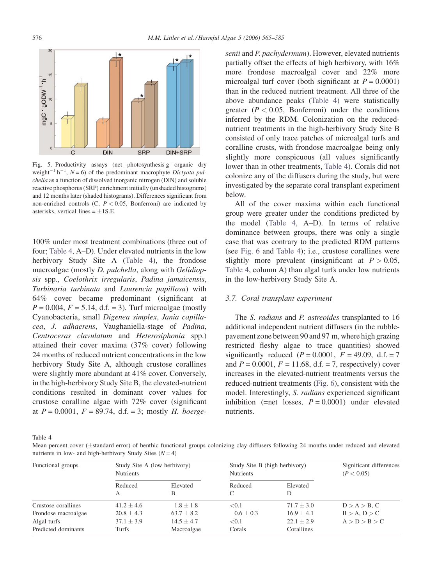<span id="page-11-0"></span>

Fig. 5. Productivity assays (net photosynthesis g organic dry weight<sup>-1</sup> h<sup>-1</sup>, N = 6) of the predominant macrophyte Dictyota pulchella as a function of dissolved inorganic nitrogen (DIN) and soluble reactive phosphorus (SRP) enrichment initially (unshaded histograms) and 12 months later (shaded histograms). Differences significant from non-enriched controls  $(C, P < 0.05,$  Bonferroni) are indicated by asterisks, vertical lines  $= \pm 1$ S.E.

100% under most treatment combinations (three out of four; Table 4, A–D). Under elevated nutrients in the low herbivory Study Site A (Table 4), the frondose macroalgae (mostly D. pulchella, along with Gelidiopsis spp., Coelothrix irregularis, Padina jamaicensis, Turbinaria turbinata and Laurencia papillosa) with 64% cover became predominant (significant at  $P = 0.004$ ,  $F = 5.14$ , d.f. = 3). Turf microalgae (mostly Cyanobacteria, small Digenea simplex, Jania capillacea, J. adhaerens, Vaughaniella-stage of Padina, Centroceras clavulatum and Heterosiphonia spp.) attained their cover maxima (37% cover) following 24 months of reduced nutrient concentrations in the low herbivory Study Site A, although crustose corallines were slightly more abundant at 41% cover. Conversely, in the high-herbivory Study Site B, the elevated-nutrient conditions resulted in dominant cover values for crustose coralline algae with 72% cover (significant at  $P = 0.0001$ ,  $F = 89.74$ , d.f. = 3; mostly H. boergesenii and P. pachydermum). However, elevated nutrients partially offset the effects of high herbivory, with 16% more frondose macroalgal cover and 22% more microalgal turf cover (both significant at  $P = 0.0001$ ) than in the reduced nutrient treatment. All three of the above abundance peaks (Table 4) were statistically greater ( $P < 0.05$ , Bonferroni) under the conditions inferred by the RDM. Colonization on the reducednutrient treatments in the high-herbivory Study Site B consisted of only trace patches of microalgal turfs and coralline crusts, with frondose macroalgae being only slightly more conspicuous (all values significantly lower than in other treatments, Table 4). Corals did not colonize any of the diffusers during the study, but were investigated by the separate coral transplant experiment below.

All of the cover maxima within each functional group were greater under the conditions predicted by the model (Table 4, A–D). In terms of relative dominance between groups, there was only a single case that was contrary to the predicted RDM patterns (see [Fig. 6](#page-12-0) and Table 4); i.e., crustose corallines were slightly more prevalent (insignificant at  $P > 0.05$ , Table 4, column A) than algal turfs under low nutrients in the low-herbivory Study Site A.

## 3.7. Coral transplant experiment

The *S. radians* and *P. astreoides* transplanted to 16 additional independent nutrient diffusers (in the rubblepavement zone between 90 and 97 m, where high grazing restricted fleshy algae to trace quantities) showed significantly reduced  $(P = 0.0001, F = 49.09, d.f. = 7$ and  $P = 0.0001$ ,  $F = 11.68$ , d.f. = 7, respectively) cover increases in the elevated-nutrient treatments versus the reduced-nutrient treatments [\(Fig. 6\)](#page-12-0), consistent with the model. Interestingly, S. radians experienced significant inhibition (=net losses,  $P = 0.0001$ ) under elevated nutrients.

Table 4

Mean percent cover (±standard error) of benthic functional groups colonizing clay diffusers following 24 months under reduced and elevated nutrients in low- and high-herbivory Study Sites  $(N = 4)$ 

| Functional groups   | Study Site A (low herbivory)<br><b>Nutrients</b> |                | Study Site B (high herbivory)<br><b>Nutrients</b> |                | Significant differences<br>(P < 0.05) |  |
|---------------------|--------------------------------------------------|----------------|---------------------------------------------------|----------------|---------------------------------------|--|
|                     | Reduced<br>А                                     | Elevated<br>B  | Reduced<br>C                                      | Elevated<br>D  |                                       |  |
| Crustose corallines | $41.2 + 4.6$                                     | $1.8 + 1.8$    | < 0.1                                             | $71.7 + 3.0$   | $D > A > B$ , C                       |  |
| Frondose macroalgae | $20.8 + 4.3$                                     | $63.7 + 8.2$   | $0.6 + 0.3$                                       | $16.9 + 4.1$   | $B > A$ , $D > C$                     |  |
| Algal turfs         | $37.1 \pm 3.9$                                   | $14.5 \pm 4.7$ | < 0.1                                             | $22.1 \pm 2.9$ | A > D > B > C                         |  |
| Predicted dominants | Turfs                                            | Macroalgae     | Corals                                            | Corallines     |                                       |  |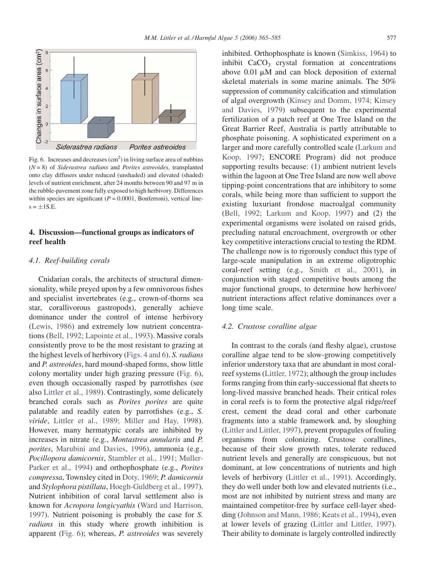<span id="page-12-0"></span>

Fig. 6. Increases and decreases  $(cm<sup>2</sup>)$  in living surface area of nubbins  $(N = 8)$  of Siderastrea radians and Porites astreoides, transplanted onto clay diffusers under reduced (unshaded) and elevated (shaded) levels of nutrient enrichment, after 24 months between 90 and 97 m in the rubble-pavement zone fully exposed to high herbivory. Differences within species are significant ( $P = 0.0001$ , Bonferroni), vertical line $s = \pm 1S.E$ .

# 4. Discussion—functional groups as indicators of reef health

# 4.1. Reef-building corals

Cnidarian corals, the architects of structural dimensionality, while preyed upon by a few omnivorous fishes and specialist invertebrates (e.g., crown-of-thorns sea star, corallivorous gastropods), generally achieve dominance under the control of intense herbivory [\(Lewis, 1986](#page-18-0)) and extremely low nutrient concentrations ([Bell, 1992; Lapointe et al., 1993\)](#page-16-0). Massive corals consistently prove to be the most resistant to grazing at the highest levels of herbivory ([Figs. 4 and 6\)](#page-7-0). S. radians and P. astreoides, hard mound-shaped forms, show little colony mortality under high grazing pressure (Fig. 6), even though occasionally rasped by parrotfishes (see also [Littler et al., 1989\)](#page-19-0). Contrastingly, some delicately branched corals such as Porites porites are quite palatable and readily eaten by parrotfishes (e.g., S. viride, [Littler et al., 1989; Miller and Hay, 1998](#page-19-0)). However, many hermatypic corals are inhibited by increases in nitrate (e.g., Montastrea annularis and P. porites, [Marubini and Davies, 1996](#page-19-0)), ammonia (e.g., Pocillopora damicornis, [Stambler et al., 1991; Muller-](#page-20-0)[Parker et al., 1994](#page-20-0)) and orthophosphate (e.g., Porites compressa, Townsley cited in [Doty, 1969;](#page-17-0) P. damicornis and Stylophora pistillata, [Hoegh-Guldberg et al., 1997](#page-17-0)). Nutrient inhibition of coral larval settlement also is known for Acropora longicyathis [\(Ward and Harrison,](#page-20-0) [1997\)](#page-20-0). Nutrient poisoning is probably the case for S. radians in this study where growth inhibition is apparent (Fig. 6); whereas, P. astreoides was severely inhibited. Orthophosphate is known [\(Simkiss, 1964](#page-20-0)) to inhibit  $CaCO<sub>3</sub>$  crystal formation at concentrations above  $0.01 \mu M$  and can block deposition of external skeletal materials in some marine animals. The 50% suppression of community calcification and stimulation of algal overgrowth [\(Kinsey and Domm, 1974; Kinsey](#page-17-0) [and Davies, 1979\)](#page-17-0) subsequent to the experimental fertilization of a patch reef at One Tree Island on the Great Barrier Reef, Australia is partly attributable to phosphate poisoning. A sophisticated experiment on a larger and more carefully controlled scale ([Larkum and](#page-18-0) [Koop, 1997;](#page-18-0) ENCORE Program) did not produce supporting results because: (1) ambient nutrient levels within the lagoon at One Tree Island are now well above tipping-point concentrations that are inhibitory to some corals, while being more than sufficient to support the existing luxuriant frondose macroalgal community [\(Bell, 1992; Larkum and Koop, 1997](#page-16-0)) and (2) the experimental organisms were isolated on raised grids, precluding natural encroachment, overgrowth or other key competitive interactions crucial to testing the RDM. The challenge now is to rigorously conduct this type of large-scale manipulation in an extreme oligotrophic coral-reef setting (e.g., [Smith et al., 2001](#page-20-0)), in conjunction with staged competitive bouts among the major functional groups, to determine how herbivore/ nutrient interactions affect relative dominances over a long time scale.

## 4.2. Crustose coralline algae

In contrast to the corals (and fleshy algae), crustose coralline algae tend to be slow-growing competitively inferior understory taxa that are abundant in most coralreef systems [\(Littler, 1972](#page-18-0)); although the group includes forms ranging from thin early-successional flat sheets to long-lived massive branched heads. Their critical roles in coral reefs is to form the protective algal ridge/reef crest, cement the dead coral and other carbonate fragments into a stable framework and, by sloughing [\(Littler and Littler, 1997](#page-18-0)), prevent propagules of fouling organisms from colonizing. Crustose corallines, because of their slow growth rates, tolerate reduced nutrient levels and generally are conspicuous, but not dominant, at low concentrations of nutrients and high levels of herbivory [\(Littler et al., 1991\)](#page-19-0). Accordingly, they do well under both low and elevated nutrients (i.e., most are not inhibited by nutrient stress and many are maintained competitor-free by surface cell-layer shedding [\(Johnson and Mann, 1986; Keats et al., 1994\)](#page-17-0), even at lower levels of grazing ([Littler and Littler, 1997](#page-18-0)). Their ability to dominate is largely controlled indirectly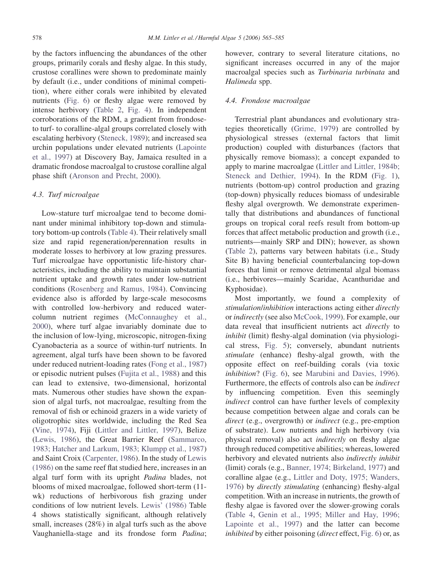by the factors influencing the abundances of the other groups, primarily corals and fleshy algae. In this study, crustose corallines were shown to predominate mainly by default (i.e., under conditions of minimal competition), where either corals were inhibited by elevated nutrients ([Fig. 6\)](#page-12-0) or fleshy algae were removed by intense herbivory [\(Table 2,](#page-9-0) [Fig. 4\)](#page-7-0). In independent corroborations of the RDM, a gradient from frondoseto turf- to coralline-algal groups correlated closely with escalating herbivory ([Steneck, 1989](#page-20-0)); and increased sea urchin populations under elevated nutrients ([Lapointe](#page-18-0) [et al., 1997\)](#page-18-0) at Discovery Bay, Jamaica resulted in a dramatic frondose macroalgal to crustose coralline algal phase shift ([Aronson and Precht, 2000](#page-16-0)).

#### 4.3. Turf microalgae

Low-stature turf microalgae tend to become dominant under minimal inhibitory top-down and stimulatory bottom-up controls [\(Table 4\)](#page-11-0). Their relatively small size and rapid regeneration/perennation results in moderate losses to herbivory at low grazing pressures. Turf microalgae have opportunistic life-history characteristics, including the ability to maintain substantial nutrient uptake and growth rates under low-nutrient conditions [\(Rosenberg and Ramus, 1984\)](#page-19-0). Convincing evidence also is afforded by large-scale mesocosms with controlled low-herbivory and reduced watercolumn nutrient regimes [\(McConnaughey et al.,](#page-19-0) [2000](#page-19-0)), where turf algae invariably dominate due to the inclusion of low-lying, microscopic, nitrogen-fixing Cyanobacteria as a source of within-turf nutrients. In agreement, algal turfs have been shown to be favored under reduced nutrient-loading rates ([Fong et al., 1987\)](#page-17-0) or episodic nutrient pulses [\(Fujita et al., 1988\)](#page-17-0) and this can lead to extensive, two-dimensional, horizontal mats. Numerous other studies have shown the expansion of algal turfs, not macroalgae, resulting from the removal of fish or echinoid grazers in a wide variety of oligotrophic sites worldwide, including the Red Sea [\(Vine, 1974\)](#page-20-0), Fiji ([Littler and Littler, 1997\)](#page-18-0), Belize [\(Lewis, 1986\)](#page-18-0), the Great Barrier Reef ([Sammarco,](#page-19-0) [1983; Hatcher and Larkum, 1983; Klumpp et al., 1987\)](#page-19-0) and Saint Croix [\(Carpenter, 1986\)](#page-16-0). In the study of [Lewis](#page-18-0) [\(1986\)](#page-18-0) on the same reef flat studied here, increases in an algal turf form with its upright Padina blades, not blooms of mixed macroalgae, followed short-term (11 wk) reductions of herbivorous fish grazing under conditions of low nutrient levels. [Lewis' \(1986\)](#page-18-0) Table 4 shows statistically significant, although relatively small, increases (28%) in algal turfs such as the above Vaughaniella-stage and its frondose form Padina; however, contrary to several literature citations, no significant increases occurred in any of the major macroalgal species such as Turbinaria turbinata and Halimeda spp.

# 4.4. Frondose macroalgae

Terrestrial plant abundances and evolutionary strategies theoretically [\(Grime, 1979](#page-17-0)) are controlled by physiological stresses (external factors that limit production) coupled with disturbances (factors that physically remove biomass); a concept expanded to apply to marine macroalgae ([Littler and Littler, 1984b;](#page-18-0) [Steneck and Dethier, 1994\)](#page-18-0). In the RDM [\(Fig. 1\)](#page-1-0), nutrients (bottom-up) control production and grazing (top-down) physically reduces biomass of undesirable fleshy algal overgrowth. We demonstrate experimentally that distributions and abundances of functional groups on tropical coral reefs result from bottom-up forces that affect metabolic production and growth (i.e., nutrients—mainly SRP and DIN); however, as shown ([Table 2\)](#page-9-0), patterns vary between habitats (i.e., Study Site B) having beneficial counterbalancing top-down forces that limit or remove detrimental algal biomass (i.e., herbivores—mainly Scaridae, Acanthuridae and Kyphosidae).

Most importantly, we found a complexity of stimulation/inhibition interactions acting either directly or indirectly (see also [McCook, 1999](#page-19-0)). For example, our data reveal that insufficient nutrients act directly to inhibit (limit) fleshy-algal domination (via physiological stress, [Fig. 5](#page-11-0)); conversely, abundant nutrients stimulate (enhance) fleshy-algal growth, with the opposite effect on reef-building corals (via toxic inhibition? ([Fig. 6\)](#page-12-0), see [Marubini and Davies, 1996\)](#page-19-0). Furthermore, the effects of controls also can be *indirect* by influencing competition. Even this seemingly indirect control can have further levels of complexity because competition between algae and corals can be direct (e.g., overgrowth) or *indirect* (e.g., pre-emption of substrate). Low nutrients and high herbivory (via physical removal) also act indirectly on fleshy algae through reduced competitive abilities; whereas, lowered herbivory and elevated nutrients also indirectly inhibit (limit) corals (e.g., [Banner, 1974; Birkeland, 1977](#page-16-0)) and coralline algae (e.g., [Littler and Doty, 1975; Wanders,](#page-18-0) [1976](#page-18-0)) by directly stimulating (enhancing) fleshy-algal competition. With an increase in nutrients, the growth of fleshy algae is favored over the slower-growing corals ([Table 4](#page-11-0), [Genin et al., 1995; Miller and Hay, 1996;](#page-17-0) [Lapointe et al., 1997](#page-17-0)) and the latter can become inhibited by either poisoning (direct effect, [Fig. 6](#page-12-0)) or, as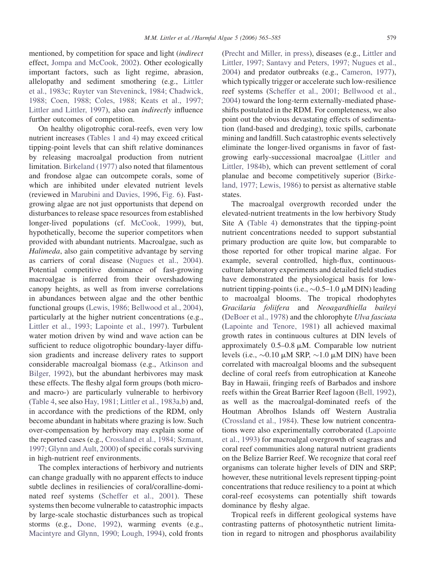mentioned, by competition for space and light (indirect effect, [Jompa and McCook, 2002\)](#page-17-0). Other ecologically important factors, such as light regime, abrasion, allelopathy and sediment smothering (e.g., [Littler](#page-19-0) [et al., 1983c; Ruyter van Steveninck, 1984; Chadwick,](#page-19-0) [1988; Coen, 1988; Coles, 1988; Keats et al., 1997;](#page-19-0) [Littler and Littler, 1997\)](#page-19-0), also can indirectly influence further outcomes of competition.

On healthy oligotrophic coral-reefs, even very low nutrient increases ([Tables 1 and 4](#page-8-0)) may exceed critical tipping-point levels that can shift relative dominances by releasing macroalgal production from nutrient limitation. [Birkeland \(1977\)](#page-16-0) also noted that filamentous and frondose algae can outcompete corals, some of which are inhibited under elevated nutrient levels (reviewed in [Marubini and Davies, 1996](#page-19-0), [Fig. 6](#page-12-0)). Fastgrowing algae are not just opportunists that depend on disturbances to release space resources from established longer-lived populations (cf. [McCook, 1999](#page-19-0)), but, hypothetically, become the superior competitors when provided with abundant nutrients. Macroalgae, such as Halimeda, also gain competitive advantage by serving as carriers of coral disease ([Nugues et al., 2004](#page-19-0)). Potential competitive dominance of fast-growing macroalgae is inferred from their overshadowing canopy heights, as well as from inverse correlations in abundances between algae and the other benthic functional groups ([Lewis, 1986; Bellwood et al., 2004](#page-18-0)), particularly at the higher nutrient concentrations (e.g., [Littler et al., 1993; Lapointe et al., 1997\)](#page-18-0). Turbulent water motion driven by wind and wave action can be sufficient to reduce oligotrophic boundary-layer diffusion gradients and increase delivery rates to support considerable macroalgal biomass (e.g., [Atkinson and](#page-16-0) [Bilger, 1992\)](#page-16-0), but the abundant herbivores may mask these effects. The fleshy algal form groups (both microand macro-) are particularly vulnerable to herbivory [\(Table 4](#page-11-0), see also [Hay, 1981; Littler et al., 1983a,b\)](#page-17-0) and, in accordance with the predictions of the RDM, only become abundant in habitats where grazing is low. Such over-compensation by herbivory may explain some of the reported cases (e.g., [Crossland et al., 1984; Szmant,](#page-16-0) [1997; Glynn and Ault, 2000\)](#page-16-0) of specific corals surviving in high-nutrient reef environments.

The complex interactions of herbivory and nutrients can change gradually with no apparent effects to induce subtle declines in resiliencies of coral/coralline-dominated reef systems ([Scheffer et al., 2001\)](#page-20-0). These systems then become vulnerable to catastrophic impacts by large-scale stochastic disturbances such as tropical storms (e.g., [Done, 1992](#page-17-0)), warming events (e.g., [Macintyre and Glynn, 1990; Lough, 1994\)](#page-19-0), cold fronts [\(Precht and Miller, in press\)](#page-19-0), diseases (e.g., [Littler and](#page-18-0) [Littler, 1997; Santavy and Peters, 1997; Nugues et al.,](#page-18-0) [2004\)](#page-18-0) and predator outbreaks (e.g., [Cameron, 1977](#page-16-0)), which typically trigger or accelerate such low-resilience reef systems ([Scheffer et al., 2001; Bellwood et al.,](#page-20-0) [2004\)](#page-20-0) toward the long-term externally-mediated phaseshifts postulated in the RDM. For completeness, we also point out the obvious devastating effects of sedimentation (land-based and dredging), toxic spills, carbonate mining and landfill. Such catastrophic events selectively eliminate the longer-lived organisms in favor of fastgrowing early-successional macroalgae [\(Littler and](#page-18-0) [Littler, 1984b\)](#page-18-0), which can prevent settlement of coral planulae and become competitively superior ([Birke](#page-16-0)[land, 1977; Lewis, 1986\)](#page-16-0) to persist as alternative stable states.

The macroalgal overgrowth recorded under the elevated-nutrient treatments in the low herbivory Study Site A [\(Table 4\)](#page-11-0) demonstrates that the tipping-point nutrient concentrations needed to support substantial primary production are quite low, but comparable to those reported for other tropical marine algae. For example, several controlled, high-flux, continuousculture laboratory experiments and detailed field studies have demonstrated the physiological basis for lownutrient tipping-points (i.e.,  $\sim 0.5-1.0 \mu M$  DIN) leading to macroalgal blooms. The tropical rhodophytes Gracilaria foliifera and Neoagardhiella baileyi [\(DeBoer et al., 1978\)](#page-17-0) and the chlorophyte Ulva fasciata [\(Lapointe and Tenore, 1981](#page-18-0)) all achieved maximal growth rates in continuous cultures at DIN levels of approximately  $0.5-0.8 \mu M$ . Comparable low nutrient levels (i.e.,  $\sim 0.10 \mu M$  SRP,  $\sim 1.0 \mu M$  DIN) have been correlated with macroalgal blooms and the subsequent decline of coral reefs from eutrophication at Kaneohe Bay in Hawaii, fringing reefs of Barbados and inshore reefs within the Great Barrier Reef lagoon ([Bell, 1992](#page-16-0)), as well as the macroalgal-dominated reefs of the Houtman Abrolhos Islands off Western Australia [\(Crossland et al., 1984](#page-16-0)). These low nutrient concentrations were also experimentally corroborated [\(Lapointe](#page-18-0) [et al., 1993\)](#page-18-0) for macroalgal overgrowth of seagrass and coral reef communities along natural nutrient gradients on the Belize Barrier Reef. We recognize that coral reef organisms can tolerate higher levels of DIN and SRP; however, these nutritional levels represent tipping-point concentrations that reduce resiliency to a point at which coral-reef ecosystems can potentially shift towards dominance by fleshy algae.

Tropical reefs in different geological systems have contrasting patterns of photosynthetic nutrient limitation in regard to nitrogen and phosphorus availability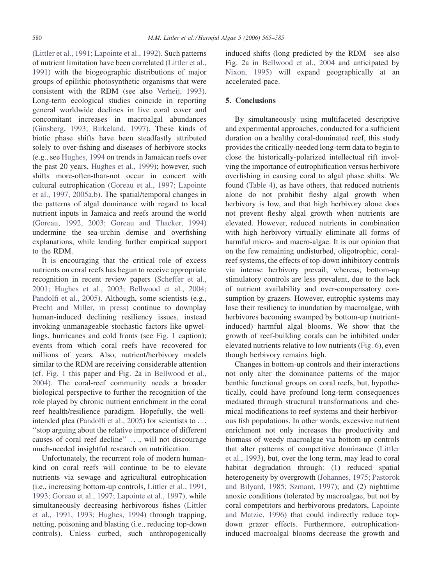[\(Littler et al., 1991; Lapointe et al., 1992\)](#page-19-0). Such patterns of nutrient limitation have been correlated [\(Littler et al.,](#page-19-0) [1991](#page-19-0)) with the biogeographic distributions of major groups of epilithic photosynthetic organisms that were consistent with the RDM (see also [Verheij, 1993](#page-20-0)). Long-term ecological studies coincide in reporting general worldwide declines in live coral cover and concomitant increases in macroalgal abundances [\(Ginsberg, 1993; Birkeland, 1997](#page-17-0)). These kinds of biotic phase shifts have been steadfastly attributed solely to over-fishing and diseases of herbivore stocks (e.g., see [Hughes, 1994](#page-17-0) on trends in Jamaican reefs over the past 20 years, [Hughes et al., 1999](#page-17-0)); however, such shifts more-often-than-not occur in concert with cultural eutrophication [\(Goreau et al., 1997; Lapointe](#page-17-0) [et al., 1997, 2005a,b](#page-17-0)). The spatial/temporal changes in the patterns of algal dominance with regard to local nutrient inputs in Jamaica and reefs around the world [\(Goreau, 1992, 2003; Goreau and Thacker, 1994\)](#page-17-0) undermine the sea-urchin demise and overfishing explanations, while lending further empirical support to the RDM.

It is encouraging that the critical role of excess nutrients on coral reefs has begun to receive appropriate recognition in recent review papers [\(Scheffer et al.,](#page-20-0) [2001; Hughes et al., 2003; Bellwood et al., 2004;](#page-20-0) [Pandolfi et al., 2005](#page-20-0)). Although, some scientists (e.g., [Precht and Miller, in press\)](#page-19-0) continue to downplay human-induced declining resiliency issues, instead invoking unmanageable stochastic factors like upwellings, hurricanes and cold fronts (see [Fig. 1](#page-1-0) caption); events from which coral reefs have recovered for millions of years. Also, nutrient/herbivory models similar to the RDM are receiving considerable attention (cf. [Fig. 1](#page-1-0) this paper and Fig. 2a in [Bellwood et al.,](#page-16-0) [2004](#page-16-0)). The coral-reef community needs a broader biological perspective to further the recognition of the role played by chronic nutrient enrichment in the coral reef health/resilience paradigm. Hopefully, the wellintended plea ([Pandolfi et al., 2005](#page-19-0)) for scientists to ... ''stop arguing about the relative importance of different causes of coral reef decline'' ..., will not discourage much-needed insightful research on nutrification.

Unfortunately, the recurrent role of modern humankind on coral reefs will continue to be to elevate nutrients via sewage and agricultural eutrophication (i.e., increasing bottom-up controls, [Littler et al., 1991,](#page-19-0) [1993; Goreau et al., 1997; Lapointe et al., 1997\)](#page-19-0), while simultaneously decreasing herbivorous fishes [\(Littler](#page-19-0) [et al., 1991, 1993; Hughes, 1994\)](#page-19-0) through trapping, netting, poisoning and blasting (i.e., reducing top-down controls). Unless curbed, such anthropogenically induced shifts (long predicted by the RDM—see also Fig. 2a in [Bellwood et al., 2004](#page-16-0) and anticipated by [Nixon, 1995\)](#page-19-0) will expand geographically at an accelerated pace.

## 5. Conclusions

By simultaneously using multifaceted descriptive and experimental approaches, conducted for a sufficient duration on a healthy coral-dominated reef, this study provides the critically-needed long-term data to begin to close the historically-polarized intellectual rift involving the importance of eutrophification versus herbivore overfishing in causing coral to algal phase shifts. We found [\(Table 4](#page-11-0)), as have others, that reduced nutrients alone do not prohibit fleshy algal growth when herbivory is low, and that high herbivory alone does not prevent fleshy algal growth when nutrients are elevated. However, reduced nutrients in combination with high herbivory virtually eliminate all forms of harmful micro- and macro-algae. It is our opinion that on the few remaining undisturbed, oligotrophic, coralreef systems, the effects of top-down inhibitory controls via intense herbivory prevail; whereas, bottom-up stimulatory controls are less prevalent, due to the lack of nutrient availability and over-compensatory consumption by grazers. However, eutrophic systems may lose their resiliency to inundation by macroalgae, with herbivores becoming swamped by bottom-up (nutrientinduced) harmful algal blooms. We show that the growth of reef-building corals can be inhibited under elevated nutrients relative to low nutrients ([Fig. 6\)](#page-12-0), even though herbivory remains high.

Changes in bottom-up controls and their interactions not only alter the dominance patterns of the major benthic functional groups on coral reefs, but, hypothetically, could have profound long-term consequences mediated through structural transformations and chemical modifications to reef systems and their herbivorous fish populations. In other words, excessive nutrient enrichment not only increases the productivity and biomass of weedy macroalgae via bottom-up controls that alter patterns of competitive dominance [\(Littler](#page-18-0) [et al., 1993](#page-18-0)), but, over the long term, may lead to coral habitat degradation through: (1) reduced spatial heterogeneity by overgrowth [\(Johannes, 1975; Pastorok](#page-17-0) [and Bilyard, 1985; Szmant, 1997\)](#page-17-0); and (2) nighttime anoxic conditions (tolerated by macroalgae, but not by coral competitors and herbivorous predators, [Lapointe](#page-18-0) [and Matzie, 1996\)](#page-18-0) that could indirectly reduce topdown grazer effects. Furthermore, eutrophicationinduced macroalgal blooms decrease the growth and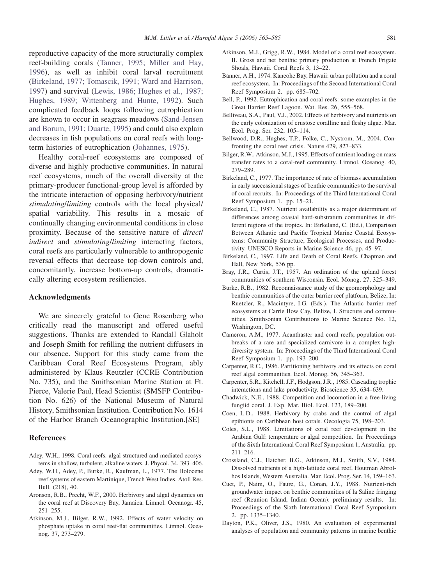<span id="page-16-0"></span>reproductive capacity of the more structurally complex reef-building corals ([Tanner, 1995; Miller and Hay,](#page-20-0) [1996\)](#page-20-0), as well as inhibit coral larval recruitment (Birkeland, 1977; Tomascik, 1991; Ward and Harrison, 1997) and survival ([Lewis, 1986; Hughes et al., 1987;](#page-18-0) [Hughes, 1989; Wittenberg and Hunte, 1992\)](#page-18-0). Such complicated feedback loops following eutrophication are known to occur in seagrass meadows [\(Sand-Jensen](#page-19-0) [and Borum, 1991; Duarte, 1995](#page-19-0)) and could also explain decreases in fish populations on coral reefs with longterm histories of eutrophication ([Johannes, 1975](#page-17-0)).

Healthy coral-reef ecosystems are composed of diverse and highly productive communities. In natural reef ecosystems, much of the overall diversity at the primary-producer functional-group level is afforded by the intricate interaction of opposing herbivory/nutrient stimulating/limiting controls with the local physical/ spatial variability. This results in a mosaic of continually changing environmental conditions in close proximity. Because of the sensitive nature of direct/ indirect and stimulating/limiting interacting factors, coral reefs are particularly vulnerable to anthropogenic reversal effects that decrease top-down controls and, concomitantly, increase bottom-up controls, dramatically altering ecosystem resiliencies.

# Acknowledgments

We are sincerely grateful to Gene Rosenberg who critically read the manuscript and offered useful suggestions. Thanks are extended to Randall Glaholt and Joseph Smith for refilling the nutrient diffusers in our absence. Support for this study came from the Caribbean Coral Reef Ecosystems Program, ably administered by Klaus Reutzler (CCRE Contribution No. 735), and the Smithsonian Marine Station at Ft. Pierce, Valerie Paul, Head Scientist (SMSFP Contribution No. 626) of the National Museum of Natural History, Smithsonian Institution. Contribution No. 1614 of the Harbor Branch Oceanographic Institution.[SE]

#### **References**

- Adey, W.H., 1998. Coral reefs: algal structured and mediated ecosystems in shallow, turbulent, alkaline waters. J. Phycol. 34, 393–406.
- Adey, W.H., Adey, P., Burke, R., Kaufman, L., 1977. The Holocene reef systems of eastern Martinique, French West Indies. Atoll Res. Bull. (218), 40.
- Aronson, R.B., Precht, W.F., 2000. Herbivory and algal dynamics on the coral reef at Discovery Bay, Jamaica. Limnol. Oceanogr. 45, 251–255.
- Atkinson, M.J., Bilger, R.W., 1992. Effects of water velocity on phosphate uptake in coral reef-flat communities. Limnol. Oceanog. 37, 273–279.
- Atkinson, M.J., Grigg, R.W., 1984. Model of a coral reef ecosystem. II. Gross and net benthic primary production at French Frigate Shoals, Hawaii. Coral Reefs 3, 13–22.
- Banner, A.H., 1974. Kaneohe Bay, Hawaii: urban pollution and a coral reef ecosystem. In: Proceedings of the Second International Coral Reef Symposium 2. pp. 685–702.
- Bell, P., 1992. Eutrophication and coral reefs: some examples in the Great Barrier Reef Lagoon. Wat. Res. 26, 555–568.
- Belliveau, S.A., Paul, V.J., 2002. Effects of herbivory and nutrients on the early colonization of crustose coralline and fleshy algae. Mar. Ecol. Prog. Ser. 232, 105–114.
- Bellwood, D.R., Hughes, T.P., Folke, C., Nystrom, M., 2004. Confronting the coral reef crisis. Nature 429, 827–833.
- Bilger, R.W., Atkinson, M.J., 1995. Effects of nutrient loading on mass transfer rates to a coral-reef community. Limnol. Oceanog. 40, 279–289.
- Birkeland, C., 1977. The importance of rate of biomass accumulation in early successional stages of benthic communities to the survival of coral recruits. In: Proceedings of the Third International Coral Reef Symposium 1. pp. 15–21.
- Birkeland, C., 1987. Nutrient availability as a major determinant of differences among coastal hard-substratum communities in different regions of the tropics. In: Birkeland, C. (Ed.), Comparison Between Atlantic and Pacific Tropical Marine Coastal Ecosystems: Community Structure, Ecological Processes, and Productivity. UNESCO Reports in Marine Science 46, pp. 45–97.
- Birkeland, C., 1997. Life and Death of Coral Reefs. Chapman and Hall, New York, 536 pp.
- Bray, J.R., Curtis, J.T., 1957. An ordination of the upland forest communities of southern Wisconsin. Ecol. Monog. 27, 325–349.
- Burke, R.B., 1982. Reconnaissance study of the geomorphology and benthic communities of the outer barrier reef platform, Belize, In: Ruetzler, R., Macintyre, I.G. (Eds.), The Atlantic barrier reef ecosystems at Carrie Bow Cay, Belize, I. Structure and communities. Smithsonian Contributions to Marine Science No. 12, Washington, DC.
- Cameron, A.M., 1977. Acanthaster and coral reefs; population outbreaks of a rare and specialized carnivore in a complex highdiversity system. In: Proceedings of the Third International Coral Reef Symposium 1. pp. 193–200.
- Carpenter, R.C., 1986. Partitioning herbivory and its effects on coral reef algal communities. Ecol. Monog. 56, 345–363.
- Carpenter, S.R., Kitchell, J.F., Hodgson, J.R., 1985. Cascading trophic interactions and lake productivity. Bioscience 35, 634–639.
- Chadwick, N.E., 1988. Competition and locomotion in a free-living fungiid coral. J. Exp. Mar. Biol. Ecol. 123, 189–200.
- Coen, L.D., 1988. Herbivory by crabs and the control of algal epibionts on Caribbean host corals. Oecologia 75, 198–203.
- Coles, S.L., 1988. Limitations of coral reef development in the Arabian Gulf: temperature or algal competition. In: Proceedings of the Sixth International Coral Reef Symposium 1, Australia, pp. 211–216.
- Crossland, C.J., Hatcher, B.G., Atkinson, M.J., Smith, S.V., 1984. Dissolved nutrients of a high-latitude coral reef, Houtman Abrolhos Islands, Western Australia. Mar. Ecol. Prog. Ser. 14, 159–163.
- Cuet, P., Naim, O., Faure, G., Conan, J.Y., 1988. Nutrient-rich groundwater impact on benthic communities of la Saline fringing reef (Reunion Island, Indian Ocean): preliminary results. In: Proceedings of the Sixth International Coral Reef Symposium 2. pp. 1335–1340.
- Dayton, P.K., Oliver, J.S., 1980. An evaluation of experimental analyses of population and community patterns in marine benthic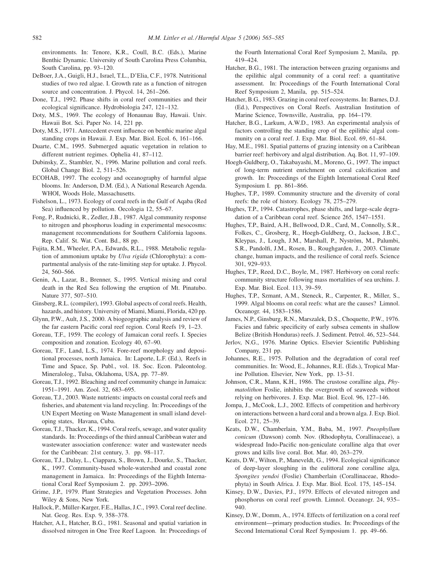<span id="page-17-0"></span>environments. In: Tenore, K.R., Coull, B.C. (Eds.), Marine Benthic Dynamic. University of South Carolina Press Columbia, South Carolina, pp. 93–120.

- DeBoer, J.A., Guigli, H.J., Israel, T.L., D'Elia, C.F., 1978. Nutritional studies of two red algae. I. Growth rate as a function of nitrogen source and concentration. J. Phycol. 14, 261–266.
- Done, T.J., 1992. Phase shifts in coral reef communities and their ecological significance. Hydrobiologia 247, 121–132.
- Doty, M.S., 1969. The ecology of Honaunau Bay, Hawaii. Univ. Hawaii Bot. Sci. Paper No. 14, 221 pp.
- Doty, M.S., 1971. Antecedent event influence on benthic marine algal standing crops in Hawaii. J. Exp. Mar. Biol. Ecol. 6, 161–166.
- Duarte, C.M., 1995. Submerged aquatic vegetation in relation to different nutrient regimes. Ophelia 41, 87–112.
- Dubinsky, Z., Stambler, N., 1996. Marine pollution and coral reefs. Global Change Biol. 2, 511–526.
- ECOHAB, 1997. The ecology and oceanography of harmful algae blooms. In: Anderson, D.M. (Ed.), A National Research Agenda. WHOI, Woods Hole, Massachusetts.
- Fishelson, L., 1973. Ecology of coral reefs in the Gulf of Aqaba (Red Sea) influenced by pollution. Oecologia 12, 55–67.
- Fong, P., Rudnicki, R., Zedler, J.B., 1987. Algal community response to nitrogen and phosphorus loading in experimental mesocosms: management recommendations for Southern California lagoons. Rep. Calif. St. Wat. Cont. Bd., 88 pp.
- Fujita, R.M., Wheeler, P.A., Edwards, R.L., 1988. Metabolic regulation of ammonium uptake by Ulva rigida (Chlorophyta): a compartmental analysis of the rate-limiting step for uptake. J. Phycol. 24, 560–566.
- Genin, A., Lazar, B., Brenner, S., 1995. Vertical mixing and coral death in the Red Sea following the eruption of Mt. Pinatubo. Nature 377, 507–510.
- Ginsberg, R.L. (compiler), 1993. Global aspects of coral reefs. Health, hazards, and history. University of Miami, Miami, Florida, 420 pp.
- Glynn, P.W., Ault, J.S., 2000. A biogeographic analysis and review of the far eastern Pacific coral reef region. Coral Reefs 19, 1–23.
- Goreau, T.F., 1959. The ecology of Jamaican coral reefs. I. Species composition and zonation. Ecology 40, 67–90.
- Goreau, T.F., Land, L.S., 1974. Fore-reef morphology and depositional processes, north Jamaica. In: Laporte, L.F. (Ed.), Reefs in Time and Space, Sp. Publ., vol. 18. Soc. Econ. Paleontolog. Mineralolog., Tulsa, Oklahoma, USA, pp. 77–89.
- Goreau, T.J., 1992. Bleaching and reef community change in Jamaica: 1951–1991. Am. Zool. 32, 683–695.
- Goreau, T.J., 2003. Waste nutrients: impacts on coastal coral reefs and fisheries, and abatement via land recycling. In: Proceedings of the UN Expert Meeting on Waste Management in small island developing states, Havana, Cuba.
- Goreau, T.J., Thacker, K., 1994. Coral reefs, sewage, and water quality standards. In: Proceedings of the third annual Caribbean water and wastewater association conference: water and wastewater needs for the Caribbean: 21st century, 3. pp. 98–117.
- Goreau, T.J., Dalay, L., Ciappara, S., Brown, J., Dourke, S., Thacker, K., 1997. Community-based whole-watershed and coastal zone management in Jamaica. In: Proceedings of the Eighth International Coral Reef Symposium 2. pp. 2093–2096.
- Grime, J.P., 1979. Plant Strategies and Vegetation Processes. John Wiley & Sons, New York.
- Hallock, P., Müller-Karger, F.E., Hallas, J.C., 1993. Coral reef decline. Nat. Geog. Res. Exp. 9, 358–378.
- Hatcher, A.I., Hatcher, B.G., 1981. Seasonal and spatial variation in dissolved nitrogen in One Tree Reef Lagoon. In: Proceedings of

the Fourth International Coral Reef Symposium 2, Manila, pp. 419–424.

- Hatcher, B.G., 1981. The interaction between grazing organisms and the epilithic algal community of a coral reef: a quantitative assessment. In: Proceedings of the Fourth International Coral Reef Symposium 2, Manila, pp. 515–524.
- Hatcher, B.G., 1983. Grazing in coral reef ecosystems. In: Barnes, D.J. (Ed.), Perspectives on Coral Reefs. Australian Institution of Marine Science, Townsville, Australia, pp. 164–179.
- Hatcher, B.G., Larkum, A.W.D., 1983. An experimental analysis of factors controlling the standing crop of the epilithic algal community on a coral reef. J. Exp. Mar. Biol. Ecol. 69, 61–84.
- Hay, M.E., 1981. Spatial patterns of grazing intensity on a Caribbean barrier reef: herbivory and algal distribution. Aq. Bot. 11, 97–109.
- Hoegh-Guldberg, O., Takabayashi, M., Moreno, G., 1997. The impact of long-term nutrient enrichment on coral calcification and growth. In: Proceedings of the Eighth International Coral Reef Symposium I. pp. 861–866.
- Hughes, T.P., 1989. Community structure and the diversity of coral reefs: the role of history. Ecology 78, 275–279.
- Hughes, T.P., 1994. Catastrophes, phase shifts, and large-scale degradation of a Caribbean coral reef. Science 265, 1547–1551.
- Hughes, T.P., Baird, A.H., Bellwood, D.R., Card, M., Connolly, S.R., Folkes, C., Grosberg, R., Hoegh-Guldberg, O., Jackson, J.B.C., Kleypas, J., Lough, J.M., Marshall, P., Nyström, M., Palumbi, S.R., Pandolfi, J.M., Rosen, B., Roughgarden, J., 2003. Climate change, human impacts, and the resilience of coral reefs. Science 301, 929–933.
- Hughes, T.P., Reed, D.C., Boyle, M., 1987. Herbivory on coral reefs: community structure following mass mortalities of sea urchins. J. Exp. Mar. Biol. Ecol. 113, 39–59.
- Hughes, T.P., Szmant, A.M., Steneck, R., Carpenter, R., Miller, S., 1999. Algal blooms on coral reefs: what are the causes? Limnol. Oceanogr. 44, 1583–1586.
- James, N.P., Ginsburg, R.N., Marszalek, D.S., Choquette, P.W., 1976. Facies and fabric specificity of early subsea cements in shallow Belize (British Honduras) reefs. J. Sediment. Petrol. 46, 523–544.
- Jerlov, N.G., 1976. Marine Optics. Elsevier Scientific Publishing Company, 231 pp.
- Johannes, R.E., 1975. Pollution and the degradation of coral reef communities. In: Wood, E., Johannes, R.E. (Eds.), Tropical Marine Pollution. Elsevier, New York, pp. 13–51.
- Johnson, C.R., Mann, K.H., 1986. The crustose coralline alga, Phymatolithon Foslie, inhibits the overgrowth of seaweeds without relying on herbivores. J. Exp. Mar. Biol. Ecol. 96, 127–146.
- Jompa, J., McCook, L.J., 2002. Effects of competition and herbivory on interactions between a hard coral and a brown alga. J. Exp. Biol. Ecol. 271, 25–39.
- Keats, D.W., Chamberlain, Y.M., Baba, M., 1997. Pneophyllum conicum (Dawson) comb. Nov. (Rhodophyta, Corallinaceae), a widespread Indo-Pacific non-geniculate coralline alga that over grows and kills live coral. Bot. Mar. 40, 263–279.
- Keats, D.W., Wilton, P., Maneveldt, G., 1994. Ecological significance of deep-layer sloughing in the eulittoral zone coralline alga, Spongites yendoi (Foslie) Chamberlain (Corallinaceae, Rhodophyta) in South Africa. J. Exp. Mar. Biol. Ecol. 175, 145–154.
- Kinsey, D.W., Davies, P.J., 1979. Effects of elevated nitrogen and phosphorus on coral reef growth. Limnol. Oceanogr. 24, 935– 940.
- Kinsey, D.W., Domm, A., 1974. Effects of fertilization on a coral reef environment—primary production studies. In: Proceedings of the Second International Coral Reef Symposium 1. pp. 49–66.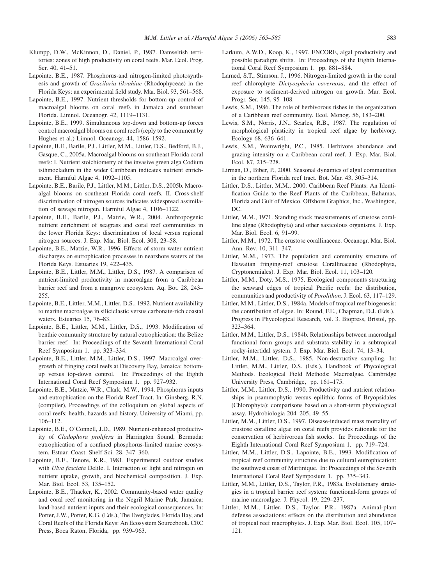- <span id="page-18-0"></span>Klumpp, D.W., McKinnon, D., Daniel, P., 1987. Damselfish territories: zones of high productivity on coral reefs. Mar. Ecol. Prog. Ser. 40, 41–51.
- Lapointe, B.E., 1987. Phosphorus-and nitrogen-limited photosynthesis and growth of Gracilaria tikvahiae (Rhodophyceae) in the Florida Keys: an experimental field study. Mar. Biol. 93, 561–568.
- Lapointe, B.E., 1997. Nutrient thresholds for bottom-up control of macroalgal blooms on coral reefs in Jamaica and southeast Florida. Limnol. Oceanogr. 42, 1119–1131.
- Lapointe, B.E., 1999. Simultaneous top-down and bottom-up forces control macroalgal blooms on coral reefs (reply to the comment by Hughes et al.) Limnol. Oceanogr. 44, 1586–1592.
- Lapointe, B.E., Barile, P.J., Littler, M.M., Littler, D.S., Bedford, B.J., Gasque, C., 2005a. Macroalgal blooms on southeast Florida coral reefs: I. Nutrient stoichiometry of the invasive green alga Codium isthmocladum in the wider Caribbean indicates nutrient enrichment. Harmful Algae 4, 1092–1105.
- Lapointe, B.E., Barile, P.J., Littler, M.M., Littler, D.S., 2005b. Macroalgal blooms on southeast Florida coral reefs. II. Cross-shelf discrimination of nitrogen sources indicates widespread assimilation of sewage nitrogen. Harmful Algae 4, 1106–1122.
- Lapointe, B.E., Barile, P.J., Matzie, W.R., 2004. Anthropogenic nutrient enrichment of seagrass and coral reef communities in the lower Florida Keys: discrimination of local versus regional nitrogen sources. J. Exp. Mar. Biol. Ecol. 308, 23–58.
- Lapointe, B.E., Matzie, W.R., 1996. Effects of storm water nutrient discharges on eutrophication processes in nearshore waters of the Florida Keys. Estuaries 19, 422–435.
- Lapointe, B.E., Littler, M.M., Littler, D.S., 1987. A comparison of nutrient-limited productivity in macroalgae from a Caribbean barrier reef and from a mangrove ecosystem. Aq. Bot. 28, 243– 255.
- Lapointe, B.E., Littler, M.M., Littler, D.S., 1992. Nutrient availability to marine macroalgae in siliciclastic versus carbonate-rich coastal waters. Estuaries 15, 76–83.
- Lapointe, B.E., Littler, M.M., Littler, D.S., 1993. Modification of benthic community structure by natural eutrophication: the Belize barrier reef. In: Proceedings of the Seventh International Coral Reef Symposium 1. pp. 323–334.
- Lapointe, B.E., Littler, M.M., Littler, D.S., 1997. Macroalgal overgrowth of fringing coral reefs at Discovery Bay, Jamaica: bottomup versus top-down control. In: Proceedings of the Eighth International Coral Reef Symposium 1. pp. 927–932.
- Lapointe, B.E., Matzie, W.R., Clark, M.W., 1994. Phosphorus inputs and eutrophication on the Florida Reef Tract. In: Ginsberg, R.N. (compiler), Proceedings of the colloquium on global aspects of coral reefs: health, hazards and history. University of Miami, pp. 106–112.
- Lapointe, B.E., O'Connell, J.D., 1989. Nutrient-enhanced productivity of Cladophora prolifera in Harrington Sound, Bermuda: eutrophication of a confined phosphorus-limited marine ecosystem. Estuar. Coast. Shelf Sci. 28, 347–360.
- Lapointe, B.E., Tenore, K.R., 1981. Experimental outdoor studies with Ulva fasciata Delile. I. Interaction of light and nitrogen on nutrient uptake, growth, and biochemical composition. J. Exp. Mar. Biol. Ecol. 53, 135–152.
- Lapointe, B.E., Thacker, K., 2002. Community-based water quality and coral reef monitoring in the Negril Marine Park, Jamaica: land-based nutrient inputs and their ecological consequences. In: Porter, J.W., Porter, K.G. (Eds.), The Everglades, Florida Bay, and Coral Reefs of the Florida Keys: An Ecosystem Sourcebook. CRC Press, Boca Raton, Florida, pp. 939–963.
- Larkum, A.W.D., Koop, K., 1997. ENCORE, algal productivity and possible paradigm shifts. In: Proceedings of the Eighth International Coral Reef Symposium 1. pp. 881–884.
- Larned, S.T., Stimson, J., 1996. Nitrogen-limited growth in the coral reef chlorophyte Dictyospheria cavernosa, and the effect of exposure to sediment-derived nitrogen on growth. Mar. Ecol. Progr. Ser. 145, 95–108.
- Lewis, S.M., 1986. The role of herbivorous fishes in the organization of a Caribbean reef community. Ecol. Monog. 56, 183–200.
- Lewis, S.M., Norris, J.N., Searles, R.B., 1987. The regulation of morphological plasticity in tropical reef algae by herbivory. Ecology 68, 636–641.
- Lewis, S.M., Wainwright, P.C., 1985. Herbivore abundance and grazing intensity on a Caribbean coral reef. J. Exp. Mar. Biol. Ecol. 87, 215–228.
- Lirman, D., Biber, P., 2000. Seasonal dynamics of algal communities in the northern Florida reef tract. Bot. Mar. 43, 305–314.
- Littler, D.S., Littler, M.M., 2000. Caribbean Reef Plants: An Identification Guide to the Reef Plants of the Caribbean, Bahamas, Florida and Gulf of Mexico. Offshore Graphics, Inc., Washington,  $DC$
- Littler, M.M., 1971. Standing stock measurements of crustose coralline algae (Rhodophyta) and other saxicolous organisms. J. Exp. Mar. Biol. Ecol. 6, 91–99.
- Littler, M.M., 1972. The crustose corallinaceae. Oceanogr. Mar. Biol. Ann. Rev. 10, 311–347.
- Littler, M.M., 1973. The population and community structure of Hawaiian fringing-reef crustose Corallinaceae (Rhodophyta, Cryptonemiales). J. Exp. Mar. Biol. Ecol. 11, 103–120.
- Littler, M.M., Doty, M.S., 1975. Ecological components structuring the seaward edges of tropical Pacific reefs: the distribution, communities and productivity of Porolithon. J. Ecol. 63, 117–129.
- Littler, M.M., Littler, D.S., 1984a. Models of tropical reef biogenesis: the contribution of algae. In: Round, F.E., Chapman, D.J. (Eds.), Progress in Phycological Research, vol. 3. Biopress, Bristol, pp. 323–364.
- Littler, M.M., Littler, D.S., 1984b. Relationships between macroalgal functional form groups and substrata stability in a subtropical rocky-intertidal system. J. Exp. Mar. Biol. Ecol. 74, 13–34.
- Littler, M.M., Littler, D.S., 1985. Non-destructive sampling. In: Littler, M.M., Littler, D.S. (Eds.), Handbook of Phycological Methods. Ecological Field Methods: Macroalgae. Cambridge University Press, Cambridge, pp. 161–175.
- Littler, M.M., Littler, D.S., 1990. Productivity and nutrient relationships in psammophytic versus epilithic forms of Bryopsidales (Chlorophyta): comparisons based on a short-term physiological assay. Hydrobiologia 204–205, 49–55.
- Littler, M.M., Littler, D.S., 1997. Disease-induced mass mortality of crustose coralline algae on coral reefs provides rationale for the conservation of herbivorous fish stocks. In: Proceedings of the Eighth International Coral Reef Symposium 1. pp. 719–724.
- Littler, M.M., Littler, D.S., Lapointe, B.E., 1993. Modification of tropical reef community structure due to cultural eutrophication: the southwest coast of Martinique. In: Proceedings of the Seventh International Coral Reef Symposium 1. pp. 335–343.
- Littler, M.M., Littler, D.S., Taylor, P.R., 1983a. Evolutionary strategies in a tropical barrier reef system: functional-form groups of marine macroalgae. J. Phycol. 19, 229–237.
- Littler, M.M., Littler, D.S., Taylor, P.R., 1987a. Animal-plant defense associations: effects on the distribution and abundance of tropical reef macrophytes. J. Exp. Mar. Biol. Ecol. 105, 107– 121.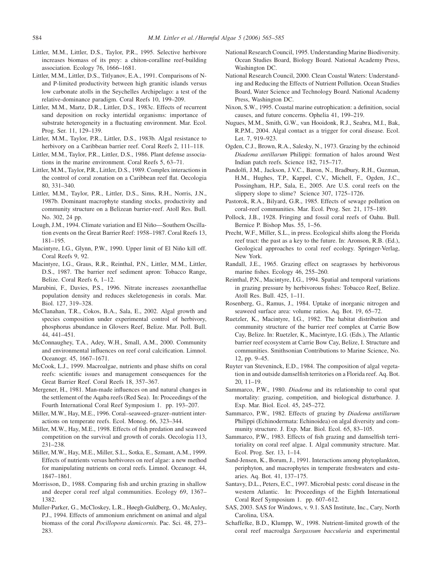- <span id="page-19-0"></span>Littler, M.M., Littler, D.S., Taylor, P.R., 1995. Selective herbivore increases biomass of its prey: a chiton-coralline reef-building association. Ecology 76, 1666–1681.
- Littler, M.M., Littler, D.S., Titlyanov, E.A., 1991. Comparisons of Nand P-limited productivity between high granitic islands versus low carbonate atolls in the Seychelles Archipelago: a test of the relative-dominance paradigm. Coral Reefs 10, 199–209.
- Littler, M.M., Martz, D.R., Littler, D.S., 1983c. Effects of recurrent sand deposition on rocky intertidal organisms: importance of substrate heterogeneity in a fluctuating environment. Mar. Ecol. Prog. Ser. 11, 129–139.
- Littler, M.M., Taylor, P.R., Littler, D.S., 1983b. Algal resistance to herbivory on a Caribbean barrier reef. Coral Reefs 2, 111-118.
- Littler, M.M., Taylor, P.R., Littler, D.S., 1986. Plant defense associations in the marine environment. Coral Reefs 5, 63–71.
- Littler, M.M., Taylor, P.R., Littler, D.S., 1989. Complex interactions in the control of coral zonation on a Caribbean reef flat. Oecologia 80, 331–340.
- Littler, M.M., Taylor, P.R., Littler, D.S., Sims, R.H., Norris, J.N., 1987b. Dominant macrophyte standing stocks, productivity and community structure on a Belizean barrier-reef. Atoll Res. Bull. No. 302, 24 pp.
- Lough, J.M., 1994. Climate variation and El Niño-Southern Oscillation events on the Great Barrier Reef: 1958–1987. Coral Reefs 13, 181–195.
- Macintyre, I.G., Glynn, P.W., 1990. Upper limit of El Niño kill off. Coral Reefs 9, 92.
- Macintyre, I.G., Graus, R.R., Reinthal, P.N., Littler, M.M., Littler, D.S., 1987. The barrier reef sediment apron: Tobacco Range, Belize. Coral Reefs 6, 1–12.
- Marubini, F., Davies, P.S., 1996. Nitrate increases zooxanthellae population density and reduces skeletogenesis in corals. Mar. Biol. 127, 319–328.
- McClanahan, T.R., Cokos, B.A., Sala, E., 2002. Algal growth and species composition under experimental control of herbivory, phosphorus abundance in Glovers Reef, Belize. Mar. Poll. Bull. 44, 441–451.
- McConnaughey, T.A., Adey, W.H., Small, A.M., 2000. Community and environmental influences on reef coral calcification. Limnol. Oceanogr. 45, 1667–1671.
- McCook, L.J., 1999. Macroalgae, nutrients and phase shifts on coral reefs: scientific issues and management consequences for the Great Barrier Reef. Coral Reefs 18, 357–367.
- Mergener, H., 1981. Man-made influences on and natural changes in the settlement of the Aqaba reefs (Red Sea). In: Proceedings of the Fourth International Coral Reef Symposium 1. pp. 193–207.
- Miller, M.W., Hay, M.E., 1996. Coral–seaweed–grazer–nutrient interactions on temperate reefs. Ecol. Monog. 66, 323–344.
- Miller, M.W., Hay, M.E., 1998. Effects of fish predation and seaweed competition on the survival and growth of corals. Oecologia 113, 231–238.
- Miller, M.W., Hay, M.E., Miller, S.L., Sotka, E., Szmant, A.M., 1999. Effects of nutrients versus herbivores on reef algae: a new method for manipulating nutrients on coral reefs. Limnol. Oceanogr. 44, 1847–1861.
- Morrisson, D., 1988. Comparing fish and urchin grazing in shallow and deeper coral reef algal communities. Ecology 69, 1367– 1382.
- Muller-Parker, G., McCloskey, L.R., Høegh-Guldberg, O., McAuley, P.J., 1994. Effects of ammonium enrichment on animal and algal biomass of the coral Pocillopora damicornis. Pac. Sci. 48, 273– 283.
- National Research Council, 1995. Understanding Marine Biodiversity. Ocean Studies Board, Biology Board. National Academy Press, Washington DC.
- National Research Council, 2000. Clean Coastal Waters: Understanding and Reducing the Effects of Nutrient Pollution. Ocean Studies Board, Water Science and Technology Board. National Academy Press, Washington DC.
- Nixon, S.W., 1995. Coastal marine eutrophication: a definition, social causes, and future concerns. Ophelia 41, 199–219.
- Nugues, M.M., Smith, G.W., van Hooidonk, R.J., Seabra, M.I., Bak, R.P.M., 2004. Algal contact as a trigger for coral disease. Ecol. Let. 7, 919–923.
- Ogden, C.J., Brown, R.A., Salesky, N., 1973. Grazing by the echinoid Diadema antillarum Philippi: formation of halos around West Indian patch reefs. Science 182, 715–717.
- Pandolfi, J.M., Jackson, J.V.C., Baron, N., Bradbury, R.H., Guzman, H.M., Hughes, T.P., Kappel, C.V., Michell, F., Ogden, J.C., Possingham, H.P., Sala, E., 2005. Are U.S. coral reefs on the slippery slope to slime? Science 307, 1725–1726.
- Pastorok, R.A., Bilyard, G.R., 1985. Effects of sewage pollution on coral-reef communities. Mar. Ecol. Prog. Ser. 21, 175–189.
- Pollock, J.B., 1928. Fringing and fossil coral reefs of Oahu. Bull. Bernice P. Bishop Mus. 55, 1–56.
- Precht, W.F., Miller, S.L., in press. Ecological shifts along the Florida reef tract: the past as a key to the future. In: Aronson, R.B. (Ed.), Geological approaches to coral reef ecology. Springer-Verlag, New York.
- Randall, J.E., 1965. Grazing effect on seagrasses by herbivorous marine fishes. Ecology 46, 255–260.
- Reinthal, P.N., Macintyre, I.G., 1994. Spatial and temporal variations in grazing pressure by herbivorous fishes: Tobacco Reef, Belize. Atoll Res. Bull. 425, 1–11.
- Rosenberg, G., Ramus, J., 1984. Uptake of inorganic nitrogen and seaweed surface area: volume ratios. Aq. Bot. 19, 65–72.
- Ruetzler, K., Macintyre, I.G., 1982. The habitat distribution and community structure of the barrier reef complex at Carrie Bow Cay, Belize. In: Ruetzler, K., Macintyre, I.G. (Eds.), The Atlantic barrier reef ecosystem at Carrie Bow Cay, Belize, I. Structure and communities. Smithsonian Contributions to Marine Science, No. 12, pp. 9–45.
- Ruyter van Steveninck, E.D., 1984. The composition of algal vegetation in and outside damselfish territories on a Florida reef. Aq. Bot. 20, 11–19.
- Sammarco, P.W., 1980. Diadema and its relationship to coral spat mortality: grazing, competition, and biological disturbance. J. Exp. Mar. Biol. Ecol. 45, 245–272.
- Sammarco, P.W., 1982. Effects of grazing by Diadema antillarum Philippi (Echinodermata: Echinoidea) on algal diversity and community structure. J. Exp. Mar. Biol. Ecol. 65, 83–105.
- Sammarco, P.W., 1983. Effects of fish grazing and damselfish territoriality on coral reef algae. I. Algal community structure. Mar. Ecol. Prog. Ser. 13, 1–14.
- Sand-Jensen, K., Borum, J., 1991. Interactions among phytoplankton, periphyton, and macrophytes in temperate freshwaters and estuaries. Aq. Bot. 41, 137–175.
- Santavy, D.L., Peters, E.C., 1997. Microbial pests: coral disease in the western Atlantic. In: Proceedings of the Eighth International Coral Reef Symposium 1. pp. 607–612.
- SAS, 2003. SAS for Windows, v. 9.1. SAS Institute, Inc., Cary, North Carolina, USA.
- Schaffelke, B.D., Klumpp, W., 1998. Nutrient-limited growth of the coral reef macroalga Sargassum baccularia and experimental